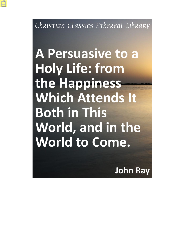Christian Classics Ethereal Library

A Persuasive to a **Holy Life: from** the Happiness **Which Attends It Both in This** World, and in the World to Come.

**John Ray**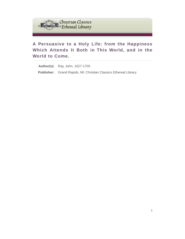

# **A Persuasive to a Holy Life: from the Happiness Which Attends It Both in This World, and in the World to Come.**

**Author(s):** Ray, John, 1627-1705 **Publisher:** Grand Rapids, MI: Christian Classics Ethereal Library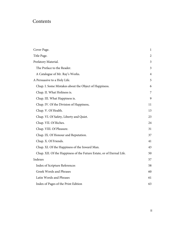# Contents

| Cover Page.                                                           | 1              |
|-----------------------------------------------------------------------|----------------|
| Title Page.                                                           | $\overline{2}$ |
| Prefatory Material.                                                   | 3              |
| The Preface to the Reader.                                            | 3              |
| A Catalogue of Mr. Ray's Works.                                       | $\overline{4}$ |
| A Persuasive to a Holy Life.                                          | 5              |
| Chap. I. Some Mistakes about the Object of Happiness.                 | 6              |
| Chap. II. What Holiness is.                                           | $\overline{7}$ |
| Chap. III. What Happiness is.                                         | 9              |
| Chap. IV. Of the Division of Happiness,                               | 11             |
| Chap. V. Of Health.                                                   | 13             |
| Chap. VI. Of Safety, Liberty and Quiet.                               | 23             |
| Chap. VII. Of Riches.                                                 | 24             |
| Chap. VIII. Of Pleasure.                                              | 31             |
| Chap. IX. Of Honour and Reputation.                                   | 37             |
| Chap. X. Of Friends.                                                  | 41             |
| Chap. XI. Of the Happiness of the Inward Man.                         | 43             |
| Chap. XII. Of the Happiness of the Future Estate, or of Eternal Life. | 50             |
| Indexes                                                               | 57             |
| Index of Scripture References                                         | 58             |
| Greek Words and Phrases                                               | 60             |
| Latin Words and Phrases                                               | 61             |
| Index of Pages of the Print Edition                                   | 63             |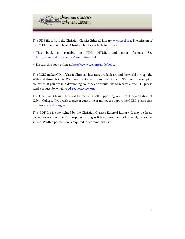

This PDF file is from the Christian Classics Ethereal Library, [www.ccel.org.](http://www.ccel.org) The mission of the CCEL is to make classic Christian books available to the world.

- This book is available in PDF, HTML, and other formats. See [http://www.ccel.org/ccel/ray/persuasive.html.](http://www.ccel.org/ccel/ray/persuasive.html)
- Discuss this book online at [http://www.ccel.org/node/4000.](http://www.ccel.org/node/4000)

The CCEL makes CDs of classic Christian literature available around the world through the Web and through CDs. We have distributed thousands of such CDs free in developing countries. If you are in a developing country and would like to receive a free CD, please send a request by email to [cd-request@ccel.org.](mailto:cd-request@ccel.org)

The Christian Classics Ethereal Library is a self supporting non-profit organization at Calvin College. If you wish to give of your time or money to support the CCEL, please visit [http://www.ccel.org/give.](http://www.ccel.org/give)

This PDF file is copyrighted by the Christian Classics Ethereal Library. It may be freely copied for non-commercial purposes as long as it is not modified. All other rights are reserved. Written permission is required for commercial use.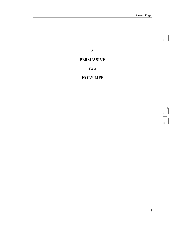<span id="page-4-1"></span>i

<span id="page-4-3"></span><span id="page-4-2"></span>ii<br>iii

**A**

# <span id="page-4-0"></span>**PERSUASIVE**

**TO A**

## **HOLY LIFE**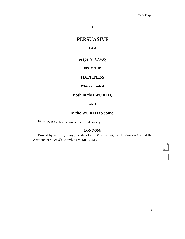**A**

# <span id="page-5-0"></span>**PERSUASIVE**

#### **TO A**

# *HOLY LIFE:*

### **FROM THE**

## **HAPPINESS**

#### **Which attends it**

# **Both in this WORLD,**

#### **AND**

### **In the WORLD to come.**

By JOHN RAY, late Fellow of the Royal Society.

### **LONDON:**

Printed by W. and J. Innys, Printers to the Royal Society, at the Prince's-Arms at the West End of St. Paul's Church-Yard. MDCCXIX.

<span id="page-5-2"></span><span id="page-5-1"></span>iv<br>v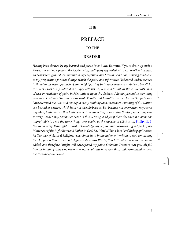### **THE**

# **PREFACE**

#### **TO THE**

### **READER.**

<span id="page-6-1"></span><span id="page-6-0"></span>Having been desired by my learned and pious Friend Mr. Edmund Elys, to draw up such a Persuasive as I now present the Reader with; finding my self well at leisure from other Business, and considering that it was suitable to my Profession, and present Condition; as being conducive to my preparation for that change, which the pains and infirmities I laboured under, seemed to threaten the near approach of, and might possibly be in some measure useful and beneficial to others: I was easily induced to comply with his Request, and to employ those Intervals I had of ease or remission of pain, in Meditations upon this Subject. I do not pretend to any thing new, or not delivered by others. Practical Divinity and Morality are such beaten Subjects, and have exercised the Wits and Pens of so many thinking Men, that there is nothing of this Nature can be said or written, which hath not already been so. But because not every Man, nay scarce any Man, hath read all that hath been written upon this, or any other Subject, something new to every Reader may perchance occur in this Writing: And yet if there does not, it may not be unprofitable to read the same things over again, as the Apostle in effect saith, [Philip. iii. 1.](http://www.ccel.org/study/Bible:Phil.3.1) But to do every Man right, I must acknowledge my self to have borrowed a good part of my Matter out of the Right Reverend Father in God, Dr. John Wilkins, late Lord Bishop ofChester, his Treatise of Natural Religion; wherein he hath in my judgment written so well concerning the Happiness that attends a Religious Life in this World, that little which is material can be added; and therefore I might well have spared my pains: Only this Tractate may possibly fall into the hands of some who never saw, nor would else have seen that; and recommend to them the reading of the whole.

<span id="page-6-2"></span>vi

<span id="page-6-4"></span><span id="page-6-3"></span>vii

viii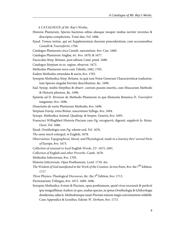A CATALOGUE of Mr. Ray's Works.

- <span id="page-7-0"></span>Historia Plantarum, Species hactenus editas aliasque insuper multas noviter inventas & descriptas complectens. Tomi duo. Fol. 1686.
- Ejusd. Tomus tertius, qui est Supplementum duorum præcedentium; cum accessionibus Camelli & Tournefortii, 1704.
- Catalogus Plantarum circa Cantab. nascentium. 8vo. Can. 1660.

Catalogus Plantarum Angliæ, &c. 8vo. 1670, & 1677.

Fasciculus Stirp. Britann. post editum Catal. præd. 1688.

Catalogus Stirpium in ex. region. observat. 1673.

Methodus Plantarum nova cum Tabulis, 1682, 1703.

Eadem Methodus emendata & aucta, 8vo. 1703.

- Synopsis Methodica Stirp. Britann. in quâ tum Notæ Generum Characteristicæ traduntur, tum Species singulæ breviter describuntur, &c. 1690.
- Ead. Synop. multis Stirpibus & observ. curiosis passim insertis, cum Muscarum Methodo & Historia pleniore, &c. 1696.
- Epistola ad D. Rivinum de Methodo Plantarum in qua Elementa Botanica D. Tournefort tanguntur, 8vo. 1696.

Dissertatio de variis Plantarum Methodis, 8vo. 1696.

Stirpium Europ. extra Britan. nascentium Sylloge, 8vo. 1694.

Synops. Methodica Animal. Quadrup. & Serpen. Generis, 8vo. 1693.

- Franscisci Willughbeii Historia Piscium cum Fig. recognovit, digessit, supplevit Jo. Raius, Oxon. Fol. 1686.
- Ejusd. Ornithologia cum Fig. edente eod. Fol. 1676.

The same much enlarged, in English, 1678.

- Observations Topographical, Moral, and Physiological, made in a Journey thro' several Parts of Europe, 8vo. 1673.
- Collection of unusual or local English Words, 12º. 1673, 1691.

Collection of English and other Proverbs. Camb. 1678.

Methodus Infectorum, 8vo. 1705.

- Historia Infectorum. Opus Posthumum. Lond. 1710. 4to.
- The Wisdom of God manifested in the Work of the Creation. In two Parts. 8vo. the 7 $^{\rm th}$  Edition. 1717.
- Three Physico-Theological Discourses, &c. the 3<sup>d</sup> Edition, 8vo. 1713.

Dictionarium Trilingue, 8vo. 1672. 1689, 1696.

Synopsis Methodica Avium & Piscium, opus posthumum, quod vivus recensuit & perfecit ipse insigniffimus Author; in quo, multas species, in ipsius Ornithologia & Ichthyologia desideratas, adjecit, Methodumque suam Piscium naturæ magis convenientem reddidit. Cum Appendice & Iconibus. Edente W. Derham, 8vo. 1713.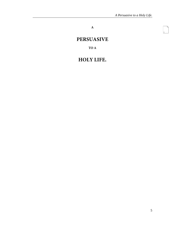<span id="page-8-1"></span>**A**

# <span id="page-8-0"></span>**PERSUASIVE**

**TO A**

# **HOLY LIFE.**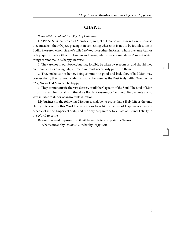### **CHAP. I.**

<span id="page-9-0"></span>Some Mistakes about the Object of Happiness.

<span id="page-9-2"></span><span id="page-9-1"></span>HAPPINESS is that which all Men desire, and yet but few obtain: One reason is, because they mistaken their Object, placing it in something wherein it is not to be found; some in Bodily Pleasures, whom Aristotle calls ἀπολαυστικοί others in Riches, whom the same Author calls χρηματιστικοί. Others in Honour and Power, whom he denominates πολιστικοί which things cannot make us happy: Because,

1. They are not in our Power, but may forcibly be taken away from us; and should they continue with us during Life, at Death we must necessarily part with them.

<span id="page-9-3"></span>2. They make us not better, being common to good and bad. Now if bad Men may possess them, they cannot render us happy; because, as the Poet truly saith, Nemo malus felix, No wicked Man can be happy.

3. They cannot satisfie the vast desires, or fill the Capacity of the Soul. The Soul of Man is spiritual and immortal, and therefore Bodily Pleasures, or Temporal Enjoyments are no way suitable to it, nor of answerable duration,

My business in the following Discourse, shall be, to prove that a Holy Life is the only Happy Life, even in this World, advancing us to as high a degree of Happiness as we are capable of in this Imperfect State, and the only preparatory to a State of Eternal Felicity in the World to come.

Before I proceed to prove this, it will be requisite to explain the Terms.

1. What is meant by Holiness. 2. What by Happiness.

<span id="page-9-5"></span><span id="page-9-4"></span>2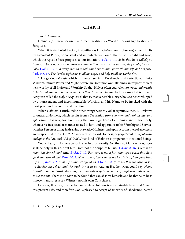### **CHAP. II.**

#### <span id="page-10-0"></span>What Holiness is.

Holiness (as I have shewn in a former Treatise) is a Word of various significations in Scripture.

<span id="page-10-7"></span><span id="page-10-6"></span>When it is attributed to God, it signifies (as Dr. Ow*tram* well $^{\rm l}$  observes) either, 1. His transcendent Purity, or constant and immutable volition of that which is right and good, which the Apostle Peter proposes to our imitation,  $1$  Pet[. 1. 14](http://www.ccel.org/study/Bible:1Pet.1.14). As he that hath called you is holy, so be ye holy in all manner of conversation. Because it is written, Be ye holy, for I am holy, 1 [John](http://www.ccel.org/study/Bible:1John.3.3) 3. 3. And every man that hath this hope in him, purifieth himself, as he is pure. [Psal. 145. 17](http://www.ccel.org/study/Bible:Ps.145.17). The Lord is righteous in all his ways, and holy in all his works. Or,

<span id="page-10-2"></span>2. His glorious Majesty, which manifests it self in all Excellencies and Perfections, infinite Wisdom, infinite Power and Might, sovereign Dominion over all things; in respect whereof he is worthy of all Praise and Worship. So that Holy is often equivalent to great, and greatly to be feared, and had in reverence of all that draw nigh to him. In this sense God is often in Scripture called the Holy one of Israel; that is, that venerable Deity who is to be worshipped by a transcendent and incommunicable Worship, and his Name to be invoked with the most profound reverence and devotion.

When Holiness is attributed to other things besides God, it signifies either, 1. A relative or outward Holiness, which results from a Separation from common and profane use, and application to a religious. God being the Sovereign Lord of all things, and himself holy, whatever is in a peculiar manner related to him, and appertains to his Worship and Service, whether Person or thing, hath a kind of relative Holiness, and upon account thereof an esteem and respect is due to it. Or, 2. An inherent or inward Holiness, or perfect conformity of heart and life to the Law and Will of God: Which kind of Holiness is proper only to rational Beings.

<span id="page-10-8"></span><span id="page-10-5"></span><span id="page-10-4"></span><span id="page-10-3"></span><span id="page-10-1"></span>You will say, If Holiness be such a perfect conformity, &c. then no Man ever was, is, or shall be holy in this Mortal Life. Doth not the Scripture tell us, 1 [Kings](http://www.ccel.org/study/Bible:1Kgs.8.46) 8.46. There is no man that sinneth not? And Eccles[. 7. 10.](http://www.ccel.org/study/Bible:Eccl.7.10) For there is not a just man upon earth that doth good, and sinneth not. [Prov. 20. 9.](http://www.ccel.org/study/Bible:Prov.20.9) Who can say, I have made my heart clean, I am pure from my sin? [James 3. 2](http://www.ccel.org/study/Bible:Jas.3.2). In many things we offend all. [1 John 1. 8.](http://www.ccel.org/study/Bible:1John.1.8) If we say that we have no sin, we deceive our selves, and the truth is not in us. And an Heathen Man could say, Nemo invenitur qui se possit absolvere; & innocentem quisque se dicit, respiciens testem, non conscientiam: There is no Man to be found that can absolve himself; and he that saith he is innocent, must respect a Witness, not his own Conscience.

I answer, It is true, that perfect and sinless Holiness is not attainable by mortal Men in this present Life, and therefore God is pleased to accept of sincerity of Obedience instead <span id="page-10-10"></span><span id="page-10-9"></span>4

<sup>1</sup> Lib. 1. de Sacrific. Cap. 1.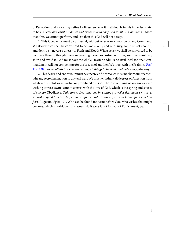<span id="page-11-3"></span><span id="page-11-2"></span>7

of Perfection; and so we may define Holiness, so far as it is attainable in this imperfect state, to be a sincere and constant desire and endeavour to obey God in all his Commands. More than this, we cannot perform, and less than this God will not accept.

1. This Obedience must be universal, without reserve or exception of any Command. Whatsoever we shall be convinced to be God's Will, and our Duty, we must set about it, and do it, be it never so uneasy to Flesh and Blood: Whatsoever we shall be convinced to be contrary thereto, though never so pleasing, never so customary to us, we must resolutely shun and avoid it. God must have the whole Heart; he admits no rival; Zeal for one Com-mandment will not compensate for the breach of another. We must with the [Psal](http://www.ccel.org/study/Bible:Ps.119.128)mist, Psal. [119. 128.](http://www.ccel.org/study/Bible:Ps.119.128) Esteem all his precepts concerning all things to be right, and hate every false way.

<span id="page-11-1"></span><span id="page-11-0"></span>2. This desire and endeavour must be sincere and hearty; we must not harbour or entertain any secret inclination to any evil way. We must withdraw all degrees of Affection from whatever is sinful, or unlawful, or prohibited by God. The love or liking of any sin, or even wishing it were lawful, cannot consist with the love of God, which is the spring and source of sincere Obedience. Quis coram Deo innocens invenitur, qui vellet fieri quod vetatur, si subtrahas quod timetur. Ac per hoc in ipsa voluntate reus est, qui vult facere quod non licet fieri. Augustin. Epist. 121. Who can be found innocent before God, who wishes that might be done. which is forbidden; and would do it were it not for fear of Punishment, &c.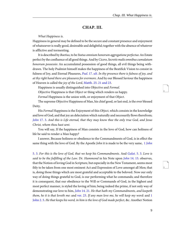### <span id="page-12-11"></span>**CHAP. III.**

#### <span id="page-12-0"></span>What Happiness is.

Happiness in general may be defined to be the secure and constant presence and enjoyment of whatsoever is really good, desireable and delightful; together with the absence of whatever is afflictive and tormenting.

<span id="page-12-10"></span><span id="page-12-9"></span><span id="page-12-1"></span>It is described by Boetius, to be Status omnium honorum aggregatione perfectus: An Estate perfect by the confluence of all good things. And by Cicero, Secretis malis omnibus cumulatum bonorum possessio: An accumulated possession of good things, all evil things being withdrawn. The holy Psalmist himself makes the happiness of the Beatifick Vision to consist in fulness of Joy, and Eternal Pleasures, *Psal.* 17. *ult. In thy presence there is fulness of joy, and* at thy right hand there are pleasures for evermore. And by our Blessed Saviour the happiness of Heaven is called the joy of the Lord, [Matth. 25. 21 and 23.](http://www.ccel.org/study/Bible:Matt.25.21 Bible:Matt.25.23)

<span id="page-12-2"></span>Happiness is usually distinguished into Objective and Formal.

Objective Happiness is that Object or thing which renders us happy.

Formal Happiness is the union with, or enjoyment of that Object.

The supreme Objective Happiness of Man, his chief good, or last end, is the ever blessed Deity.

<span id="page-12-6"></span>His Formal Happiness is the Enjoyment of this Object, which consists in the knowledge and love of God, and that joy an delectation which naturally and necessarily flows therefrom; John [17. 3](http://www.ccel.org/study/Bible:John.17.3). And this is Life eternal, that they may know thee the only true God, and Jesus Christ, whom thou hast sent.

<span id="page-12-8"></span><span id="page-12-7"></span>You will say, If the happiness of Man consists in the love of God, how can holiness of life be said to render a Man happy?

<span id="page-12-12"></span><span id="page-12-3"></span>I answer, Because holiness or obedience to the Commandments of God, is in effect the same thing with the love of God. By the Apostle *[John](http://www.ccel.org/study/Bible:1John.5.3)* it is made to be the very same, 1 *John* 

<span id="page-12-5"></span><span id="page-12-4"></span>[5. 3](http://www.ccel.org/study/Bible:1John.5.3). For this is the love of God, that we keep his Commandments. And [Galat](http://www.ccel.org/study/Bible:Gal.5.3). 5. 3. Love is said to be the fulfilling of the Law. Dr. Hammond in his Note upon John [14. 15](http://www.ccel.org/study/Bible:John.14.15). observes, that the Notion of loving God in Scripture, but especially in the New Testament, seems most fitly to be taken from one most eminent Act and Expression of Love amongst all Men; that is, doing those things which are most grateful and acceptable to the beloved. Now our only way of doing things grateful to God, is our performing what he commands; and therefore it is consequent, that our obedience to the Will or Commands of God, in the highest and most perfect manner, is styled the loving of him; being indeed the prime, if not only way of demonstrating our love to him, *John* [14. 21](http://www.ccel.org/study/Bible:John.14.21). He that hath my Commandments, and keepeth them, he it is that loveth me: and [ver. 23](http://www.ccel.org/study/Bible:John.14.23). If any man love me, he will keep my word: and  $1$ [John 2. 5](http://www.ccel.org/study/Bible:1John.2.5). He that keeps his word, in him is the love of God made perfect, &c. Another Notion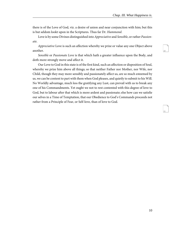<span id="page-13-1"></span><span id="page-13-0"></span>11

there is of the Love of God, viz. a desire of union and near conjunction with him; but this is but seldom lookt upon in the Scriptures. Thus far Dr. Hammond.

Love is by some Divines distinguished into Appreciative and Sensible, or rather Passionate.

Appreciative Love is such an affection whereby we prize or value any one Object above another.

Sensible or Passionate Love is that which hath a greater influence upon the Body, and doth more strongly move and affect it.

Our Love to God in this state is of the first kind, such an affection or disposition of Soul, whereby we prize him above all things; so that neither Father nor Mother, nor Wife, nor Child, though they may more sensibly and passionately affect us, are so much esteemed by us, we can be content to part with them when God pleases, and quietly to submit to his Will. No Worldly advantage, much less the gratifying any Lust, can prevail with us to break any one of his Commandments. Yet ought we not to rest contented with this degree of love to God, but to labour after that which is more ardent and passionate; else how can we satisfie our selves in a Time of Temptation, that our Obedience to God's Commands proceeds not rather from a Principle of Fear, or Self-love, than of love to God.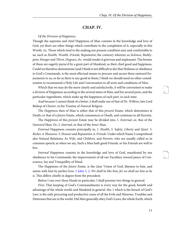### **CHAP. IV.**

<span id="page-14-0"></span>Of the Division of Happiness.

Though the supreme and chief Happiness of Man consists in the knowledge and love of God, yet there are other things which contribute to the completion of it, especially in this World, viz. Those which tend to the making our present condition easy and comfortable to us; such as Health, Wealth, Friends, Reputation; the contrary whereto; as Sickness, Bodilypain, Hunger and Thirst, Disgrace, &c. would render it grievous and unpleasant. The former of these are eagerly pursu'd by a great part of Mankind, as their chief good and happiness. Could we therefore demonstrate (and I think it not difficult to do) that Holiness or obedience to God's Commands, is the most effectual means to procure and secure these outward Enjoyments to us, so far as there is any good in them; I think we should need no other consideration to recommend a Holy Life and Conversation to all sorts and conditions of Men.

Which that we may do the more clearly and satisfactorily, it will be convenient to make a division of Happiness according to the several states of Man, and his several parts, and the particular ingredients, which make up the happiness of each part, in each state.

And because I cannot think of a better, I shall make use of that of Dr. Wilkins, late Lord Bishop of Chester, in his Treatise of Natural Religion.

The Happiness then of Man is either that of this present Estate, which determines at Death; or that of a future Estate, which commences at Death, and continues to all Eternity.

The *Happiness* of this *present* Estate may be divided into, 1. *External*, or, that of the Outward Man: Or, 2. Internal, or that of the Inner Man.

External Happiness consists principally in, 1. Health, 2. Safety, Liberty and Quiet. 3. Riches. 4. Pleasures. 5. Honour and Reputation. 6. Friends. Under which Name I comprehend also Natural Relations; As *Wife*, and *Children*, and *Parents*, who are usually called so in common speech; as when we say, Such a Man hath good Friends, or his Friends are well to live.

<span id="page-14-1"></span>Internal Happiness consists in the knowledge and love of God, manifested by our obedience to his Commands; the improvement of all our Faculties; inward peace of Conscience, Joy and Tranquillity of Mind.

The Happiness of the future Estate, is the clear Vision of God, likeness to him, and union with him by perfect love: [1 John 3. 2.](http://www.ccel.org/study/Bible:1John.3.2) We shall be like him, for we shall see him as he is. This differs chiefly in degree from the precedent.

Before I run over these Heads in particular, I shall premise two things in general.

First, That keeping of God's Commandments is every way for the good, benefit and advantage of the whole world, and Mankind in general. Sin, 1 which is the breach of God's Law, is the only procuring and productive cause of all the Evils and Miseries, Troubles and Distresses that are in the world. Did Men generally obey God's Laws, the whole Earth, which <span id="page-14-3"></span><span id="page-14-2"></span>12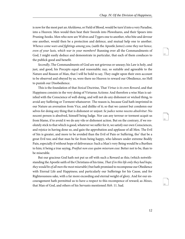is now for the most part an *Akeldama*, or Field of Blood, would be turn'd into a very Paradise, into a Heaven: Men would then beat their Swords into Plowshares, and their Spears into Pruning-hooks. Men who now are Wolves and Tygers one to another, who bite and devour one another, would then be a protection and defence, and mutual help one to another. Whence come wars and fightings among you, (saith the Apostle James) come they not hence, even of your lusts, which war in your members? Running over all the Commandments of God, I might easily deduce and demonstrate in particular, that each of them conduces to the publick good and benefit.

Secondly, The Commandments of God are not grievous or uneasy; his Law is holy, and just, and good, his Precepts equal and reasonable; nay, so suitable and agreeable to the Nature and Reason of Man, that I will be bold to say, They ought upon their own account to be observed and obeyed by us, were there no Heaven to reward our Obedience, no Hell to punish our Disobedience.

<span id="page-15-1"></span>This is the foundation of that Stoical Doctrine, That Virtue is its own Reward, and that Happiness consists in the very doing of Virtuous Actions: And therefore a wise Man is satisfied with the Conscience of well-doing, and will not do any dishonest or wicked thing, to avoid any Suffering or Torment whatsoever. The reason is, because God hath imprinted in our Nature an aversation from Vice, and dislike of it; so that we cannot but condemn our selves for doing any thing that is dishonest or unjust: Se judice nemo nocens absolvitur: No nocent person is absolved, himself being Judge. Nor can any terrour or torment acquit us from blame, if to avoid it we do any vile or dishonest action. But on the contrary, if we resolutely stick to that which is good, whatever we suffer for it, we satisfy our own Consciences, and rejoice in having done so, and gain the approbation and applause of all Men. The Evil of Sin is greater, and more to be avoided than the Evil of Pain or Suffering, tho' that be a great Evil too; and that man be far from being happy, who labours under extreme Bodily Pain, especially if without hope of deliverance: Such a Man's very Being would be a Burthen to him; it being a true saying, *Præftat non esse quàm miserum esse*: Better not to be, than to be miserable.

<span id="page-15-0"></span>But our gracious God hath not put us off with such a Reward as this; (which notwithstanding the Apostle saith of the Christians of his time, That if in this life only they had hope, they would be of all men the most miserable:) but hath promised to recompense our Obedience with Eternal Life and Happiness; and particularly our Sufferings for his Cause, and for Righteousness sake, with a far more exceeding and eternal weight of glory. And for our encouragement hath permitted us to have a respect to this recompence of reward; as Moses, that Man of God, and others of his Servants mentioned Heb. 11. had.

<span id="page-15-2"></span>14

<span id="page-15-4"></span><span id="page-15-3"></span>15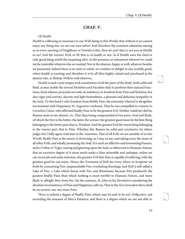### <span id="page-16-3"></span><span id="page-16-2"></span>**CHAP. V.**

#### <span id="page-16-0"></span>Of Health.

Health is a Blessing so necessary to our Well-being in this World, that without it we cannot enjoy any thing else, no not our own selves: And therefore the common salutation among us at every meeting of Neighbour or Friends is this, How do you? that is, are you in Health or no? And the Answer Well, or Ill; that is, in health or not: As if Health were the chief or only good thing worth the enquiring after, in the presence or enjoyment whereof we could not be miserable whatever else we wanted: Nor in the absence, happy or well, whatever besides we possessed. Indeed there is no taste or relish, no comfort or delight in any worldly good, where health is wanting; and therefore it is by all Men highly valued and purchased at the dearest rate, as Bishop Wilkins well observes.

Health is such a just temper and constitution of all the parts of the Body, both solid and fluid, as may inable the several Members and Faculties duly to perform their natural Functions, from whence proceeds not only an indolency or freedom from Pain and Sickness, but also vigor and activity, alacrity and light heartedness, a pleasant and delicious sympathy in the Soul. To this head I refer freedom from Bodily Pain, the extremity whereof is altogether inconsistent with Happiness: St. Augustine confesses, That he was compelled to consent to Cornelius Celsus, who affirmed Bodily Pain to be the greatest Evil. Neither (saith he) did his Reason seem to me absurd, viz. That Man being compounded of two parts, Soul and Body, of which the first is the better, the latter the worser; the greatest good must be the best thing belonging to the better part; that is, Wisdom: And the greatest Evil the worst thing belonging to the worser part; that is, Pain. Whether this Reason be solid and conclusive, let others judge; but I fully agree with him in the Assertion, That of all Evils we are sensible of in this World, Bodily Pain is the sorest; It drowning, as I may so say, and taking away the sense of all other Evils, and wholly possessing the Soul. It is such an afflictive and tormenting Passion, such a Vultur or Tyger, tearing and gnawing upon the Soul, so abhorrent to Humane Nature, that an excessive degree of it must needs make a Man miserable and unhappy; unless we can reconcile and unite extremes, the greatest Evil that Man is capable of suffering, with the greatest good he can enjoy. Hence the Torments of Hell are every where in Scripture set forth by consuming Fire, unquenchable Fire, everlasting Burnings; and Hell it self called a Lake of Fire, a Lake which burns with Fire and Brimstone; because Fire produceth the greatest Bodily Pain; than which nothing is more terrible to Humane Nature, and more likely to affright Men from Sin. On the contrary, St. John in his Revelation considering the absolute inconsistency of Pain and Happiness, tells us, That in the New Jerusalem there shall be no sorrow, nor any more Pain.

<span id="page-16-4"></span><span id="page-16-1"></span>There is indeed a degree of Bodily Pain, which may be said to be κατ' άνθρωπον, not exceeding the measure of Man's Patience; and there is a degree which we are not able to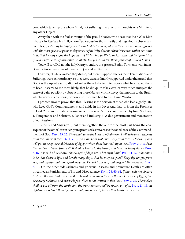bear, which takes up the whole Mind, not suffering it to divert its thoughts one Minute to any other Object.

Away then with the foolish vaunts of the proud Stoicks, who boast that their Wise Man is happy in *Phalaris* his Bull; whom  $^2$ St. Augustine thus smartly and ingeniously checks and confutes, If Life may be happy in extreme bodily torment, why do they advise a man afflicted with the most grievous pains to depart out of it? Why does not their Wiseman rather continue in it, that he may enjoy the happiness of it? Is a happy life to be forsaken and fled from? But if such a Life be really miserable, what else but pride hinders them from confessing it to be so.

You will say, Did not the holy Martyrs endure the greatest Bodily Torments with invincible patience, yea some of them with joy and exultation.

I answer, 'Tis true indeed they did so; but then I suppose, that as their Temptations and Sufferings were extraordinary, so they were extraordinarily supported under them; and that God (as the Apostle saith) did not suffer them to be tempted above what he enabled them to bear. It seems to me most likely, that he did quite take away, or very much mitigate the sense of pain; possibly by obstructing those Nerves which convey that motion to the Brain, which excites such a sense, or how else it seemed best to his Divine Wisdom.

I proceed now to prove, that this. Blessing is the portion of those who lead a godly Life, who keep God's Commandments, and abide in his Love: And that, 1. From the Promises of God: 2. From the natural consequence of several Virtues commanded by him. Such are, 1. Temperance and Sobriety, 2. Labor and Industry. 3. A due government and moderation of our Passions.

<span id="page-17-8"></span><span id="page-17-6"></span><span id="page-17-5"></span><span id="page-17-4"></span><span id="page-17-3"></span><span id="page-17-2"></span><span id="page-17-1"></span><span id="page-17-0"></span>1. Health and Long Life, (I put them together, the one for the most part being the consequent of the other) are in Scripture promised as rewards to the obedience of the Commandments of God. Exod[. 23. 25](http://www.ccel.org/study/Bible:Exod.23.25). Thou shalt serve the Lord thy God—And I will take away Sickness from the midst of thee. [Deut. 7. 15.](http://www.ccel.org/study/Bible:Deut.7.15) And the Lord will take away from thee all Sickness, and will put none of the evil Diseases of Egypt (which thou knowest) upon thee. [Prov. 3. 7, 8.](http://www.ccel.org/study/Bible:Prov.3.7-Prov.3.8) Fear the Lord and depart from evil: It shall be health to thy Navel, and Marrow to thy Bones. [Prov.](http://www.ccel.org/study/Bible:Prov.3.16) [3. 16.](http://www.ccel.org/study/Bible:Prov.3.16) It is said of Wisdom, That length of days are in her right hand. [Psal. 34. 12](http://www.ccel.org/study/Bible:Ps.34.12). What man is he that desireth life, and loveth many days, that he may see good? Keep thy tongue from evil, and thy lips that thou speak no guile. Depart from evil, and do good, &c. repeated 1 [Pet](http://www.ccel.org/study/Bible:1Pet.3.10). [3. 10](http://www.ccel.org/study/Bible:1Pet.3.10). On the other side Sickness and grievous Diseases and premature Death are often threatned as Punishments of Sin and Disobedience: Deut[. 28. 60, 61](http://www.ccel.org/study/Bible:Deut.28.60-Deut.28.61). If thou wilt not observe to do all the words of this Law, &c. He will bring upon thee all the evil Diseases of Egypt, &c. also every Sickness, and every Plague which is not written in this Law. [Prov. 2. 22.](http://www.ccel.org/study/Bible:Prov.2.22) The wicked shall be cut off from the earth, and the transgressors shall be rooted out of it. [Prov. 11. 19.](http://www.ccel.org/study/Bible:Prov.11.19) As righteousness tendeth to life, so he that pursueth evil, pursueth it to his own Death.

<span id="page-17-10"></span><span id="page-17-9"></span>20

<span id="page-17-7"></span><sup>2</sup> Epist. 52.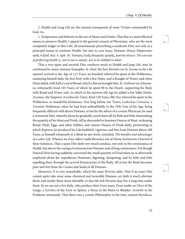<span id="page-18-2"></span><span id="page-18-1"></span>23

<span id="page-18-3"></span>24

2. Health and Long Life are the natural consequents of some Virtues commanded by God: As,

<span id="page-18-0"></span>1. Temperance and Sobriety in the use of Meats and Drinks: That this is a most effectual means to preserve Health, I appeal to the general consent of Physicians, who are the most competent Judges in this Cafe, all unanimously prescribing a moderate Diet, not only as a principal means to continue Health, but also to cure many Diseases, Hence Hippocrates saith, 6 Epid. Sect. 4. Aph. 10. Ἄσκησις ὑγιὴς ἀκορεσίη τροφῆς, ἀοκνίη πόνων: The exercise of preferring health is, not to eat to satiety, not to be slothful in labor.

That a very spare and ascetick Diet conduces much to Health and long Life, may be confirmed by many eminent Examples: St. Paul, the first Hermite (as St. Jerome in his Life reports) arrived to the Age of 115 Years, an hundred whereof he spent in the Wilderness, sustaining himself daily the first forty with a few Dates, and a draught of Water; and when Dates failed, with half a Loaf of Bread, which a Raven brought him. St. Anthony (as Athanasius witnesseth) lived 105 Years, of which he spent 90 in the Desert, supporting his Body with Bread and Water only, to which in his extreme old Age he added a few Sallet Herbs. Arsenius, the Emperor Arcadius his Tutor, lived 120 Years, fifty five whereof he spent in the Wilderness, in wonderful abstinence. Not long before our Times, Ludovicus Cornarus, a Venetian Nobleman, when he had lived unhealthfully to the 35th Year of his Age, being frequently afflicted with divers Diseases, at last by the advice of a certain Physician, he used a restrained Diet, whereby alone he gradually cured them all; by little and little diminishing the quantity of his Meat and Drink, till he descended to fourteen Ounces of Meat, reckoning Bread, Flesh, Eggs, and other Edibles, and sixteen Ounces of Drink daily; persevering in which Regimen, he produced his Life healthful, vigorous, and free from Diseases above 100 Years, as himself witnesseth in a Book he put forth, entituled, The benefits and advantages of a sober Life. Whence we may collect (saith Riverius) out of whose Institutions I borrow'd these Instances, That a spare Diet doth very much conduce, not only to the continuance of Health, but also to the curing of contumacious Diseases, and of long continuance. For though Natural Heat having suddenly concocted the small quantity of Food taken in, is afterwards employed about the superfluous Humours, digesting, dissipating, and by little and little expelling them through the several Emunctories of the Body, till at last the Body becomes pure and free from the Causes and Seeds of all Diseases.

Moreover, It is very remarkable, which the same Riverius adds, That if an exact Diet cannot quite take away some chronical and incurable Diseases, yet doth it much alleviate them, and render them more tolerable, so that the sick Persons may live a long time under them. So we see not a few daily, who produce their Lives many Years under an Ulcer of the Lungs, a Scirrhus of the Liver or Spleen, a Stone in the Reins or Bladder. Aristotle in his Problems witnesseth, That there was a certain Philosopher in his time, named Herodicus,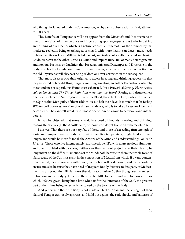<span id="page-19-2"></span><span id="page-19-1"></span>26

<span id="page-19-3"></span>27

who though he laboured under a Consumption, yet by a strict observation of Diet, attained to 100 Years.

The. Benefits of Temperance will best appear from the Mischiefs and Inconveniencies the contrary Vices of Intemperance and Excess bring upon us; especially as to the impairing and ruining of our Health, which is a natural consequent thereof. For the Stomach by immoderate repletion being overcharged or clog'd, with more than it can digest, must needs flubber over its work, as a Mill that is fed too fast, and instead of a well concocted and benign Chyle, transmit to the other Vessels a Crude and impure Juice, full of many heterogeneous and noxious Particles or Qualities, that breed an universal Distemper and Dyscrasie in the Body, and lay the foundation of many future diseases; an error in the first concoction (as the old Physicians well observe) being seldom or never corrected in the subsequent.

<span id="page-19-0"></span>That most diseases owe their original to excess in eating and drinking, appears in that they are cured by blood-letting, purging vomiting, sweating, and other Evacuations, whereby the abundance of superfluous Humours is exhausted. It is a Proverbial Saying, Plures occidit gula quàm gladius: The Throat hath slain more than the Sword. Rioting and drunkenness offer such violence to Nature, do so inflame the Blood, the vehicle of Life, waste and dissipate the Spirits, that Men guilty of them seldom live out half their days: Insomuch that (as Bishop Wilkins well observes) no Man of ordinary prudence, who is to take a Lease for Lives, will be content (if he can well avoid it) to choose one whom he knows to be vicious and intemperate.

It may be objected, that some who daily exceed all bounds in eating and drinking, feeding themselves (as the Apostle saith) without fear, do yet live to an extreme old Age.

I answer, That there are but very few of these, and those of exceeding firm strength of Parts and temperament of Body; who yet if they live temperately, might holdout much longer, and would be more fit for all the Actions of the Mind and Understanding: For (saith Riverius) Those who live intemperately, must needs be fill'd with many noxious Humours, and often troubled with Sickness; neither can they, without prejudice to their Health, be long intent on the difficult Functions of the Mind; both because in them the whole force of Nature, and of the Spirits is spent in the concoction of Meats; from which, if by any contention of mind, they be violently withdrawn, concoction will be depraved, and many crudities ensue; and also because they have need of frequent Bodily Exercise to dissipate, or Medicaments to purge out their ill Humours they daily accumulate. So that though such men seem to live long in the Body, yet in effect they live but little to their mind, and to those ends for which Life was given; being but a little while fit for the Functions of the Soul, the greatest part of their time being necessarily bestowed on the Service of the Body.

And yet even in these the Body is not made of Steel or Adamant, the strength of their Natural Temper cannot always resist and hold out against the rude shocks and batteries of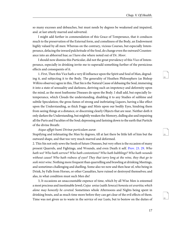<span id="page-20-4"></span><span id="page-20-3"></span>29

<span id="page-20-5"></span>30

so many excesses and debauches, but must needs by degrees be weakened and impaired, and. at last utterly marred and subverted.

I might add further in commendation of this Grace of Temperance, that it conduces much to the preservation of the External form, and comeliness of the Body, an Endowment highly valued by all men: Whereas on the contrary, vicious Courses, but especially Intemperance, defacing the inward pulchritude of the Soul, do change even the outward Countenance into an abhorred hue; as I have else where noted out of Dr. Moor.

I should now dismiss this Particular, did not the great prevalency of this Vice of Intemperance, especially in drinking invite me to superadd something further of the pernicious effects and consequents of it.

1. First, Then this Vice hath a very ill influence upon the Spirit and Soul of Man, degrading it, and subjecting it to the Body. The generality of Heathen Philosophers (as Bishop Wilkins observes) agree in this, That Sin is the Natural Cause of debasing the Soul, immersing it into a state of sensuality and darkness, deriving such an impotency and deformity upon the mind, as the most loathsome Diseases do upon the Body. I shall add, but especially Intemperance, which Clouds the understanding, disabling it to any Studies of sublime and subtile Speculation; the gross fumes of strong and inebriating Liquors, having a like effect upon the Understanding, as thick Foggs and Mists upon our bodily Eyes, hindring them from seeing things at a distance, or discerning clearly Objects that are near. Neither doth it only darken the Understanding, but mightily weaken the Memory, dulling also and impairing all the Parts and Faculties of the Soul; depressing and fastning down to the earth that Particle of the divine Breath:

#### <span id="page-20-1"></span>Atque affigit humi Divinæ particulam auræ:

<span id="page-20-0"></span>Stupifying and infatuating the Man by degrees, till at last there be little left of him but the outward shape, and that too very much marred and deformed.

2. This Sin not only sows the Seeds of future Diseases, but very often is the occasion of many present Quarrels, and Fightings, and Wounds, and even Death it self. [Prov. 23. 29.](http://www.ccel.org/study/Bible:Prov.23.29) Who hath wo? Who hath sorrow? Who hath contentions? Who hath babblings? Who hath wounds without cause? Who hath redness of eyes? They that tarry long at the wine, they that go to seek mixt wine. Nothing more frequent than quarrelling and brawling at drinking Meetings, and sometimes challenging and duelling. Some also we now and then hear of, who being in Drink, by Falls from Horses, or other Casualties, have ruined or destroyed themselves; and alas, in what condition must such Men die!

<span id="page-20-2"></span>3, It occasions an unaccountable expence of time, which by all Wise Men is esteemed a most precious and inestimable Jewel; Cujus unius (saith Seneca) honesta est avaritia; which alone may honestly be coveted. Sometimes whole Afternoons and Nights being spent in drinking bouts, and as much time more before they can get clear of the evil effects of them. Time was not given us to waste in the service of our Lusts, but to bestow on the duties of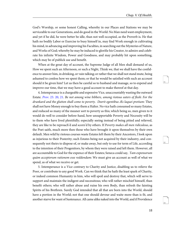<span id="page-21-4"></span><span id="page-21-3"></span>32

<span id="page-21-5"></span>33

God's Worship, or some honest Calling, whereby in our Places and Stations we may be serviceable to our Generations, and do good in the World: No Man need want employment, and yet if he did, he were better be idle, than not well occupied, as the Proverb is. He that hath no bodily Labor or Exercise to busy himself in, may find Work enough in cultivating his mind, in advancing and improving his Faculties, in searching out the Mysteries of Nature, and Works of God; whereby he may be induced to glorifie his Creator, to admire and celebrate his infinite Wisdom, Power and Goodness, and may probably hit upon something, which may be of publick use and benefit.

When at the great day of account, the Supreme Judge of all Men shall demand of us, How we spent such an Afternoon, or such a Night, Think we, that we shall have the confidence to answer him, in drinking, or vain talking; or rather that we shall not stand mute, being ashamed to confess how we spent them; or that he would be satisfied with such an account should it be given him? Let us then be careful so to husband and manage, so to expend and improve our time, that we may have a good account to make thereof at that day.

<span id="page-21-2"></span><span id="page-21-0"></span>4. Intemperance is a chargeable and expensive Vice, unaccountably wasting the outward Estate. Prov[. 23. 20, 21](http://www.ccel.org/study/Bible:Prov.23.20-Prov.23.21). Be not among wine bibbers, among riotous eaters of flesh: For the drunkard and the glutton shall come to poverty. Deerit egentibus Æs laquei pretium: They shall not have Money enough to buy them a Halter. No vice hath consumed so many Estates, and reduced so many of the meaner sort to poverty as this; which being so, men given to it would do well to consider before-hand, how unsupportable Poverty and Necessity will be to them who have lived plentifully; especially seeing instead of being pitied and relieved, they are like to be reproach'd and scorn'd by others. If Poverty makes all men ridiculous, as the Poet saith, much more then those who have brought it upon themselves by their own default. Men wild by riotous courses waste Estates left them by their Ancestors, I look upon as injurious to their Posterity; such Estates being not acquired by their industry, and consequently not theirs to dispose of, or make away, but only to use for term of Life, according to the intention of their Progenitors, by whom they were raised and left them. However, all are accountable to God for the expence of their Estates; Seneca could say, Tam expensorum quàm acceptorum rationem esse reddendam: We must give an account as well of what we spend, as of what we receive or get.

<span id="page-21-1"></span>5. Intemperance is a Vice contrary to Charity and Justice, disabling us to relieve the Poor, or contribute to any good Work. Can we think that he hath the least spark of Charity, or indeed common Humanity in him, who will spoil and destroy that, which will serve to support and maintain the indigent and necessitous; who will rather mischief himself, than benefit others; who will rather abuse and ruine his own Body, than refresh the fainting Spirits of his Brethren. Surely God intended that all that are born into the World, should have a portion in the World; not that one should devour and waite more than is fit, and another starve for want of Sustenance. All came alike naked into the World, and if Providence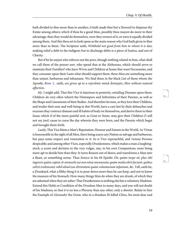hath divided to thee more than to another, it hath made thee but a Steward to dispense thy Estate among others; which if thou be a good Man, possibly thou mayest do more to their advantage, than they would do themselves, were they owners of it, or were it equally divided among them. And this thou art to look upon as the main reason why God hath given to thee more than to them. The Scripture saith, *Withhold not good from him to whom it is due*; making relief a debt to the indigent; but to discharge debts is a piece of Justice, and not of Charity.

<span id="page-22-0"></span>But if he be unjust who relieves not the poor, though nothing related to him, what shall we call them of the poorer sort, who spend that at the Alehouses, which should serve to maintain their Families? who have Wives and Children at home that want Necessaries, and they consume upon their Lusts what should support them: these Men are something more than unjust, barbarous and inhumane. We find them in the black List of those whom the Apostle, [Rom](http://www.ccel.org/study/Bible:Rom.1.28). 1. saith, are given up to a reprobate mind; ἄστοργοι, Men without natural affection.

6ly. I might add, That this Vice is injurious to posterity, entailing Diseases upon them: Children do very often inherit the Distempers and Infirmities of their Parents, as well as the Shape and Lineaments of their Bodies. And therefore let men, as they love their Children, and tender their ease and well-being in this World, have a care lest by their debauches and excesses they contract diseases and ill habits of body on themselves, and derive them to their Issue; which if of the more painful sort, as Gout or Stone, may give their Children (I will not say just) cause to curse the day wherein they were born, and the Parents which begat and brought them forth.

<span id="page-22-1"></span>Lastly, This Vice blasts a Man's Reputation, Honour and Esteem in the World. As Virtue is honourable in the sight of all Men, there being scarce any Nation so salvage and barbarous, but pays some respect and veneration to it: So is Vice reproachful, and vicious Persons despicable; and among other Vices, especially Drunkenness, which makes a man a laughingstock, a scorn and derision to the very vulgar, nay, to his own Companions; none being more apt to deride him than they: It turns Reason out of doors, and transforms a Man into a Beast, or something worse. Thus Seneca in his 84 Epistle: Dic quàm turpe sit, plus sibi ingerere quàm capiat, & stomachi sui non nôsse mensuram; quàm multa ebrii faciant, quibus sobrii erubescant; nihil aliud esse ebrietatem quàm voluntariam infantam, &c. Tell, saith he, a Drunkard, what a filthy thing it is to pour down more than he can keep, and not to know the measure of his Stomach: How many things Men do when they are drunk, of which they are ashamed when they are sober: That Drunkenness is nothing else but a voluntary Madness. Extend this Habit or Condition of the Drunken Man to many days, and you will not doubt of his Madness; so that it is no less a Phrenzy than any other, only a shorter. Relate to him the Example of Alexander the Great, who in a drunken fit killed Clitus, his most dear and

<span id="page-22-3"></span><span id="page-22-2"></span>34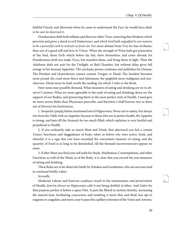<span id="page-23-3"></span><span id="page-23-2"></span>37

<span id="page-23-4"></span>38

faithful Friend; and afterward when he came to understand the Fact, he would have died: to be sure he deserved it.

Drunkenness doth both inflame and discover other Vices, removing that Modesty which prevents and gives a check to evil Endeavours, and which God hath engrafted in our natures to be a powerful curb to restrain us from sin. For more abstain from Vice for fear of shame, than out of a good will and love to Virtue. When the strength of Wine hath got possession of the Soul, those Evils which before lay hid, shew themselves, and come abroad; for Drunkenness doth not make Vices, but manifest them, and bring them to light. Then the Adulterer doth not wait for the Twilight, or Bed-Chamber, but without delay gives full swinge to his Sensual Appetites. The unchaste person confesses and publishes his Disease: The Petulant and Quarrelsome cannot contain Tongue or Hand: The Insolent becomes more proud; the cruel more fierce and inhumane; the spightful more malignant and mischievous. Much more he hath worth the reading, for which I refer to the Book.

<span id="page-23-0"></span>Here some may possibly demand, What measures of eating and drinking are we to observe? I answer, What are most agreeable to the ends of eating and drinking; those are the support of our Bodies, and preserving them in the most perfect state of Health, I need give no more severe Rules than Physicians prescribe, and therefore I shall borrow two or three out of Riverius his Institutions.

1. Ἀκορεσίη τροφῆς before mentioned out of Hippocrates; Never eat to satiety, but always rise from the Table with an Appetite; because in those who are in perfect health, the Appetite is strong, and lasts till the Stomach be too much filled; which repletion is very hurtful and prejudicial to Health.

2. If you ordinarily take so much Meat and Drink, that afterward you feel a certain Torpor, heaviness and sluggishness of body, when as before you were active, brisk, and cheerful, it is a sign that you have exceeded the convenient measure of eating; and the quantity of Food is so long to be diminished, till the foresaid inconveniencies appear no more.

3. If after Meat you find your self unfit for Study, Meditation, Contemplation, and other Functions as well of the Mind, as of the Body, it is clear that you exceed the just measures of eating and drinking.

<span id="page-23-1"></span>These Rules are to be observed chiefly by Scholars and Gentlemen, who are not exercised in continual bodily Labor.

#### Secondly,

Moderate Labour and Exercise conduces much to the maintenance and preservation of Health, ἀοκνίη πόνων as Hippocrates calls it not being slothful in labor: And Galen for that purpose prefers it before a spare Diet. It puts the Blood in motion thereby, increasing the natural heat, facilitating concoction and rendring it more thin and fluid, less apt to stagnate or coagulate, and more, easy to pass the capillary extremes of the Veins and Arteries,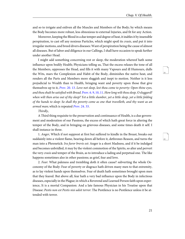<span id="page-24-6"></span><span id="page-24-5"></span>40

and so to irrigate and enliven all the Muscles and Members of the Body; by which means the Body becomes more robust, less obnoxious to external Injuries, and fit for any Action.

Moreover, keeping the Blood in a due temper and degree of heat, it inables it by insensible perspiration, to cast off any noxious Particles, which might spoil its crasis, and put it into irregular motions, and breed divers diseases: Want of perspiration being the cause of almost all diseases. But of labor and diligence in our Callings, I shall have occasion to speak further under another Head.

<span id="page-24-1"></span><span id="page-24-0"></span>I might add something concerning rest or sleep, the moderation whereof hath some influence upon bodily Health; Physicians telling us, That the excess relaxes the tone of all the Members, oppresses the Head, and fills it with many Vapours and ill Humours, dulls the Wits, mars the Complexion and Habit of the Body, diminishes the native heat, and renders all the Parts and Members more sluggish and inept to motion. Neither is it less prejudicial to Wealth than to Health, bringing want and poverty upon those that give themselves up to it, Prov[. 20. 13](http://www.ccel.org/study/Bible:Prov.20.13). Love not sleep, lest thou come to poverty: Open thine eyes, and thou shalt be satisfied with Bread. [Prov. 6. 9, 10, 11](http://www.ccel.org/study/Bible:Prov.6.9-Prov.6.11). How long wilt thou sleep, O sluggard? when wilt then arise out of thy sleep? Yet a little slumber, yet a little sleep, yet a little folding of the hands to sleep: So shall thy poverty come as one that travelleth, and thy want as an armed man; which is repeated Prov[. 24. 33](http://www.ccel.org/study/Bible:Prov.24.33).

#### <span id="page-24-2"></span>Thirdly,

A Third thing requisite to the preservation and continuance of Health, is a due government and moderation of our Passions, the excess of which hath great force in altering the temper of the Body, and in bringing on grievous diseases, and some times death it self. I shall instance in three.

<span id="page-24-3"></span>1. Anger, Which if not supprest at first but suffered to kindle in the Breast, breaks out suddainly into a violent flame, bearing down all before it, dethrones Reason, and turns the man into a Phrenetick: *Ira furor brevis est*: Anger is a short Madness, and if it be indulged and becomes unbridled, it may by the violent commotion of the Spirits, so alter and pervert the very *crasis* and temper of the Brain, as to introduce a lading and perpetual one. The like happens sometimes also in other passions; as grief, fear and love.

<span id="page-24-4"></span>2. Fear: What paleness and trembling doth it often cause? subverting the whole Oeconomy of the Body: Fear of poverty or disgrace hath driven many men to that extremity, as to lay violent hands upon themselves. Fear of death hath sometimes brought upon men that they feared. But above all, fear hath a very bad influence upon the Body in infectious diseases, especially in the Plague; in which a Reverend and Learned Person faith upon experience, It is a mortal Companion: And a late famous Physician in his Treatise upon that Disease: Pestis non est Pestis nisi adsit terror: The Pestilence is no Pestilence unless it be attended with terror.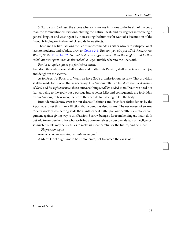<span id="page-25-5"></span><span id="page-25-4"></span>42

<span id="page-25-6"></span>43

3. Sorrow and Sadness, the excess whereof is no less injurious to the health of the body than the forementioned Passions, abating the natural heat, and by degrees introducing a general languor and wasting; or by incrassating the humors for want of a due motion of the Blood, bringing on Melancholick and delirous effects.

<span id="page-25-1"></span><span id="page-25-0"></span>These and the like Passions the Scripture commands us either wholly to extirpate, or at least to moderate and subdue. 1 Anger, [Coloss. 3. 8.](http://www.ccel.org/study/Bible:Col.3.8) But now you also put off all these, Anger, Wrath, Strife. [Prov. 16. 32.](http://www.ccel.org/study/Bible:Prov.16.32) He that is slow to anger is better than the mighty; and he that ruleth his own spirit, than he that taketh a City: Suitably whereto the Poet saith,

<span id="page-25-3"></span>Fortior est qui se quàm qui fortissima vincit.

And doubtless whosoever shall subdue and matter this Passion, shall experience much joy and delight in the victory.

As for Fear, if of Poverty or Want, we have God's promise for our security, That provision shall be made for us of all things necessary: Our Saviour tells us. That if we seek the Kingdom of God, and his righteousness, these outward things shall be added to us. Death we need not fear, as being to the godly but a passage into a better Life; and consequently are forbidden by our Saviour, to fear men, the word they can do to us being to kill the body.

<span id="page-25-2"></span>Immoderate Sorrow even for our dearest Relations and Friends is forbidden us by the Apostle, and yet this is an Affliction that wounds as deep as any. The uselesness of sorrow for any worldly loss, setting aside the ill influence it hath upon our health, is a sufficient argument against giving way to this Passion; Sorrow being so far from helping us, that it doth but add to our burthen. For what we bring upon our selves by our own default or negligence, so much trouble may be useful as to make us more careful for the future, and no more,

—Flagrantior æquo

Non debet dolor esse viri, nec vulnere major:<sup>3</sup>

A Man's Grief ought not to be immoderate, not to exceed the cause of it.

<sup>3</sup> Juvenal. Sat. xiii.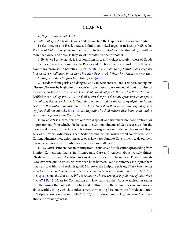### **CHAP. VI.**

<span id="page-26-0"></span>Of Safety, Liberty and Quiet.

Secondly, **S**afety, Liberty and Quiet conduce much to the Happiness of the outward Man.

I refer these to one Head, because I find them linked together in Bishop Wilkins his Treatise of Natural Religion; and before him in Bishop Andrews his Manual of Devotions more than once, and because they are of near affinity one to another.

<span id="page-26-6"></span><span id="page-26-3"></span><span id="page-26-1"></span>1. By Safety I understand, 1. Freedom from force and violence, captivity, loss of Goods by Enemies, foreign or domestick, by Pirates and Robbers. For our security from these we have many promises in Scripture, Levit[. 25. 18.](http://www.ccel.org/study/Bible:Lev.25.18) If you shall do my Statutes, and keep my Judgments, ye shall dwell in the Land in safety. [Prov. 1. 33.](http://www.ccel.org/study/Bible:Prov.1.33) Whoso hearkneth unto me, shall dwell safely, and shall be quiet from fear of evil, [Job 10. 18](http://www.ccel.org/study/Bible:Job.10.18).

<span id="page-26-8"></span><span id="page-26-7"></span><span id="page-26-5"></span><span id="page-26-4"></span><span id="page-26-2"></span>2. Freedom from perils and dangers, and sad accidents; as Fire, Tempest, contagious Diseases, Terrors by Night; for our security from these also we are not without promises of the divine protection. [Prov. 12. 21](http://www.ccel.org/study/Bible:Prov.12.21). There shall no evil happen to the just, but the wicked shall be filled with mischief. [Psal. 91. 3.](http://www.ccel.org/study/Bible:Ps.91.3) He shall deliver thee from the snare of the Fowler, and from the noisome Pestilence. And  $v. 5$ . Thou shalt not be afraid for the terror by night, nor for the pestilence that walketh in darkness. [Prov. 3. 23](http://www.ccel.org/study/Bible:Prov.3.23). Then shalt thou walk in thy way safely, and thy foot shall not stumble. [Job 5. 19, 20](http://www.ccel.org/study/Bible:Job.5.19-Job.5.20). In famine he shall redeem thee from death, and in war from the power of the Sword, &c.

II. By Liberty is meant, being at our own disposal, and not under Bondage, restraint or imprisonment; from which, obedience to the Commandments of God secures us. For the most usual causes of Sufferings of this nature are neglect of our duties, or vicious and illegal acts; as Murthers, Adulteries, Theft, Sedition, and the like, which are all contrary to God's Commandments; these enjoining us to obey Laws, to submit to Government, to do our own business, and not to be busy-bodies in other mens matters, &c.

<span id="page-26-11"></span><span id="page-26-10"></span><span id="page-26-9"></span>III. By Quiet is understood immunity from Troubles, and molestations proceeding from Enmity, Contentions, Law-suits, Immoderate Care and Anxiety about worldly things; Obedience to the Law of God doth in a great measure secure us from these: That commands us to love even our Enemies. Now who can be so barbarous and inhumane as to injure them that truly love him, and seek his good? Moreover the Scripture tells us, That when a mans ways please the Lord, he maketh even his enemies to be at peace with him, [Prov. 16. 7](http://www.ccel.org/study/Bible:Prov.16.7). And the Apostle puts the Question, Who is he that will harm you, if ye be followers of that which is good? [1 Pet. 3. 13.](http://www.ccel.org/study/Bible:1Pet.3.13) As for Contentions and Law-suits, another Apostle adviseth us rather to suffer wrong than molest our selves and brethren with them. And for care and anxiety about worldly things, which is indeed a very tormenting Passion, we are forbidden it often in Scripture: And our Saviour, *[Matth](http://www.ccel.org/study/Bible:Matt.6.25).* 6. 25, &c. produceth many Arguments or Considerations to arm us against it.

<span id="page-26-13"></span><span id="page-26-12"></span>44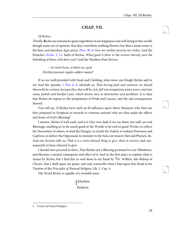<span id="page-27-6"></span>47

<span id="page-27-7"></span>48

### <span id="page-27-5"></span>**CHAP. VII.**

#### <span id="page-27-0"></span>Of Riches.

<span id="page-27-2"></span><span id="page-27-1"></span>Thirdly, **R**iches are esteemed a great ingredient of our happiness and well-being in this world: though some are of opinion, that they contribute nothing thereto, but that a mean estate is the best; and therefore Agur prays, *Prov.* 30. 8. Give me neither poverty nor riches. And the Preacher, Eccles[. 5. 11.](http://www.ccel.org/study/Bible:Eccl.5.11) Saith of Riches, What good is there to the owners thereof, save the beholding of them with their eyes? And the Heathen Poet Horace,

<span id="page-27-4"></span>—Si ventri bene, si lateri est, quid Divititæ possunt regales addere majus?

<span id="page-27-3"></span>If we are well provided with Food and Clothing, what more can Kingly Riches add to us? And the Apostle, 1 Tim[. 6. 8](http://www.ccel.org/study/Bible:1Tim.6.8). adviseth us, That having food and raiment; we should therewith be content; because they that will be rich, fall into temptation and a snare, and into many foolish and hurtful Lusts, which drown men in destruction and perdition. It is clear that Riches do expose to the temptations of Pride and Luxury, and the sad consequences thereof.

You will say. If Riches have such an ill influence upon Mens Manners, why then are they proposed in Scripture as rewards to virtuous actions? why are they made the effects and fruits of God's Blessing?

I answer, Riches if well used, and it is Our own fault if we use them not well, are real Blessings, enabling us to do much good in the World; to be rich in good Works, to relieve the Necessities of others, to feed the Hungry, to cloath the Naked, to redeem Prisoners and Captives, to deliver the Oppressed, to minister to the Sick convenient Diet and Physick, &c. And our Saviour tells us, That it is a more blessed thing to give, than to receive; and consequently to have whereof to give.

I should now proceed to shew, That Riches are a Blessing promised to our Obedience, and likewise a natural consequent and effect of it: And in the first place to explain what is meant by Riches; but I find this so well done to my hand by <sup>4</sup>Dr. Wilkins, late Bishop of Chester, that I shall spare my pains, and only transcribe what I find upon this Head in his Treatise of the Principles of Natural Religion, Lib. 2. Cap. 4.

The Word Riches is capable of a twofold sense.

Absolute, { Relative.

<sup>4</sup> Treatise of Natural Religion.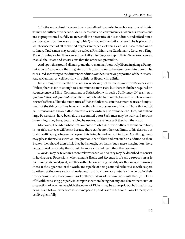<span id="page-28-2"></span><span id="page-28-1"></span>50

<span id="page-28-3"></span>51

1. In the more absolute sense it may be defined to consist in such a measure of Estate, as may be sufficient to serve a Man's occasions and conveniencies; when his Possessions are so proportioned as fully to answer all the necessities of his condition, and afford him a comfortable subsistence according to his Quality, and the station wherein he is placed. In which sense men of all ranks and degrees are capable of being rich. A Husbandman or an ordinary Tradesman may as truly be styled a Rich Man, as a Gentleman, a Lord, or a King. Though perhaps what these can very well afford to fling away upon their Diversions be more than all the Estate and Possessions that the other can pretend to.

And upon this ground all men grant, that a man may be as truly liberal in giving a Penny, but a poor Mite, as another in giving an Hundred Pounds; because these things are to be rneasured according to the different conditions of the Givers, or proportion of their Estates: And a Man may as well be rich with a little, as liberal with a little.

<span id="page-28-0"></span>Now though this be the true notion of Riches, yet in the opinion of Moralists and Philosophers is it not enough to denominate a man rich; but there is further required an Acquiescence of Mind, Contentment or Satisfaction with such a Sufficiency: Dives est, non qui plus habet, sed qui nihil cupit: He is not rich who hath much, but who covets no more. Aristotle affirms, That the true nature of Riches doth consist in the contented use and enjoyment of the things that we have, rather than in the possession of them. Those that out of penuriousness can scarce afford themselves the ordinary Conveniencies of Life, out of their large Possessions, have been always accounted poor: Such men may be truly said to want those things they have, because lying by useless, it is all one as if they had them not.

Moreover, That Man who is not content with what is in it self sufficient for his condition, is not rich, nor ever will be so; because there can be no other real limits to his desires, but that of sufficiency, whatever is beyond this being boundless and infinite. And though men may please themselves with an imagination, that if they had but such an addition to their Estates, they should then think they had enough, yet that is but a mere imagination, there being no real cause why they should be more satisfied then, than they are now.

2. Riches may be taken in a more relative sense, and so they may be described to consist in having large Possessions, when a man's Estate and Revenue is of such a proportion as is commonly esteemed great; whether with relation to the generality of other men; and so only those at the upper end of the world are capable of being counted rich; or else with respect to others of the same rank and order and so all such are accounted rich, who do in their Possessions exceed the common sort of those that are of the same rank with them; this kind of Wealth consisting properly in comparison; there being not any one determinate sum or proportion of revenue to which the name of Riches may be appropriated, but that it may be as much below the occasions of some persons, as it is above the condition of others, who yet live plentifully.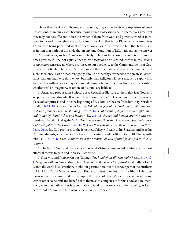Those that are rich in this comparative sense, may rather be styled proprietors of great Possessions, than truly rich; because though such Possessions be in themselves great, yet they may not be sufficient to free the owner of them from want and poverty, whether in respect to his real or imaginary occasions for more: And that is not Riches which cannot free a Man from being poor; and want of Necessaries is as truly Poverty in him that hath much, as in him that hath but little. He that in any one Condition of Life, hath enough to answer his Conveniencies, such a Man is more truly rich than he whose Revenue is a thousand times greater, if it be not equal either to his Occasions or his Mind. Riches in this second comparative sense are no where promised to our obedience to the Commandments of God, or to any particular Grace and Virtue; nor are they the natural effects and consequents of such Obedience; as if he that were godly, should be thereby advanced to the greatest Possessions that any man else doth enjoy; but only that Religion will be a means to supply him with such a sufficiency as may denominate him rich, and free him from such necessities, whether real or imaginary, as others of his rank are liable to.

<span id="page-29-5"></span><span id="page-29-4"></span><span id="page-29-3"></span><span id="page-29-2"></span><span id="page-29-1"></span><span id="page-29-0"></span>1. Riches are proposed in Scripture as a Reward or Blessing to them that fear God, and keep his Commandments. It is said of Wisdom, that is the fear of God, which in several places of Scripture is said to be the beginning of Wisdom, or the chief Wisdom; nay, Wisdom it self, [Job 28. 28](http://www.ccel.org/study/Bible:Job.28.28). And unto man he said, Behold, the fear of the Lord, that is Wisdom; and to depart from evil is understandmg. [Prov. 3. 16.](http://www.ccel.org/study/Bible:Prov.3.16) That length of days are in her right hand, and in her left hand riches and honour, &c. [c. 8. 18](http://www.ccel.org/study/Bible:Prov.8.18). Riches and honour are with me; yea, durable riches, &c. And again,  $V. 21.$  That I may cause those that love me to inherit substance, and I will fill their treasures. [Psal. 34. 9.](http://www.ccel.org/study/Bible:Ps.34.9) They that fear the Lord, there is no want to them. [Levit. 26. 3](http://www.ccel.org/study/Bible:Lev.26.3), &c. God promises to the Israelites, if they will walk in his Statutes, and keep his Commandments, a confluence of all worldly Blessings; and the like in Deut. 18. The Apostle tells us,  $1$  Tim[. 4. 8](http://www.ccel.org/study/Bible:1Tim.4.8), That Godliness hath the promises as well of this life, as of that which is to come.

<span id="page-29-7"></span><span id="page-29-6"></span>2. The fear of God, and the practice of several Virtues commanded by him, are the most effectual means to gain and increase Riches: As

1. Diligence and Industry in our Callings, The hand of the diligent maketh rich, [Prov. 10.](http://www.ccel.org/study/Bible:Prov.10.4) [4](http://www.ccel.org/study/Bible:Prov.10.4). No gains without pains. Man is born to labor, as the sparks fly upward. God hath not sent us into the world like Leviathan, to take our pastime here, but to bear our part of the Burthens of Mankind. Tho' a Man be born to an Estate sufficient to maintain him without Labor, yet I look upon him as unjust, if he lives upon the Sweat of other Mens Brows, and is not some way or other so helpful and beneficial to them, as to compensate for his Food and Raiment: Every man that hath Riches is accountable to God for the expence of them; being, as I said before, but a Steward to him who is the supreme Proprietor.

<span id="page-29-9"></span><span id="page-29-8"></span>52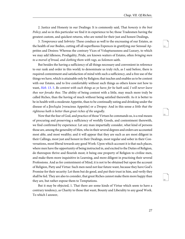<span id="page-30-3"></span><span id="page-30-2"></span>55

<span id="page-30-4"></span>56

2. Justice and Honesty in our Dealings: It is commonly said, That *honesty is the best* Policy; and so in this particular we find it in experience to be; those Tradesmen having the greatest custom, and quickest returns, who are noted for their just and honest Dealings,

3. Temperance and Sobriety: These conduce as well to the encreasing of our Estates, as the health of our Bodies, cutting off all superfluous Expences in gratifying our Sensual Appetites and Desires: Whereas the contrary Vices of Voluptuousness and Luxury, to which we may add Idleness, Prodigality, Pride, are known waiters of Estates, often bringing men to a morsel of bread, and clothing them with rags, as Solomon saith.

<span id="page-30-0"></span>But besides the having a sufficiency of all things necessary and convenient in reference to our rank and order in this world; to denominate us truly rich, as I said before, there is required contentment and satisfaction of mind with such a sufficiency, and a free use of the things we have, which is attainable only by Religion; that teaches and enables us to be content with our Estates, and to live comfortably without such things as others know not how to want, Heb[. 13. 5](http://www.ccel.org/study/Bible:Heb.13.5). Be content with such things as ye have; for he hath said, I will never leave thee nor forsake thee. The ability of being content with a little, may much more truly be called Riches, than the having of much without being satisfied therewith: As it is better to be in health with a moderate Appetite, than to be continually eating and drinking under the disease of a βουλιμία [voracious Appetite] or a Dropsy: And in this sense a little that the righteous hath is better than great riches of the ungodly.

<span id="page-30-1"></span>Now that the fear of God, and practice of those Virtues he commands us, is a real means of procuring and preserving a sufficiency of worldly Goods, and contentment therewith, we find confirmed by experience: Let any man impartially consider, what kind of persons those are, among the generality of Men, who in their several degrees and orders are accounted most able, and most wealthy; and it will appear that they are such as are most diligent in their Callings, most just and honest in their Dealings, most regular and sober in their Conversations, most liberal towards any good Work: Upon which account it is that such places, where men have the opportunity of being instructed in, and excited to the Duties of Religion, do thereupon thrive and flourish most; it being one property of Religion to civilize men, and make them more inquisitive in Learning, and more diligent in practising their several Professions. And as for contentment of Mind, it is not to be obtained but upon the account of Religion, Piety and Virtue: Such men need not fear future want, because they have God's Promise for their security: Let them but do good, and put their trust in him, and verily they shall be fed. They are also to consider, that great Riches cannot make them more happy than they are, but rather expose them to Temptations.

But it may be objected, 1. That there are some kinds of Virtue which seem to have a contrary tendency, as Charity to those that want, Bounty and Liberality to any good Work. To which I answer,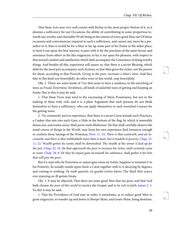<span id="page-31-8"></span><span id="page-31-7"></span>58

<span id="page-31-9"></span>59

That these Acts may very well consist with Riches in the most proper Notion of it, as it denotes a sufficiency for our Occasions; the ability of contributing in some proportion towards any worthy and charitable Work being in the esteem of every good Man one Of those occasions and conveniencies required to such a sufficiency, and cannot any more be a prejudice to it, than it would be for a Man to lay up some part of his Estate in the safest place, to lend it out upon the best interest, to part with it for the purchase of the same favour and assistance from others in the like exigencies; to lay it out upon his pleasure, with respect to that inward comfort and satisfaction which doth accompany the Conscience of doing worthy things. And besides all this, experience will assure us, that there is a secret Blessing, which doth for the most part accompany such Actions; so that Men grow the richer, not the poorer for them, according to that Proverb, Giving to the poor, increases a Man's store: And they that in this kind sow bountifully, do often even in this world, reap bountifully.

Obj. 1. There are some kinds of Vice that seem to have a tendency to the enriching of men; as Fraud, Extortions, Sordidness, all kinds of unlawful ways of getting and keeping an Estate. But to this it may be said,

1. That these Vices may tend to the encreasmg of Mens Possessions, but not to the making of them truly rich; and it is a plain Argument that such persons do not think themselves to have a sufficiency, who can apply themselves to such wretched Courses for the getting more.

<span id="page-31-6"></span><span id="page-31-3"></span><span id="page-31-2"></span><span id="page-31-1"></span><span id="page-31-0"></span>2. 'Tis commonly seen in experience, that there is a secret Curse attends such Practices, a Canker that eats into such Gain, a Hole in the bottom of the Bag, by which it insensibly drains out, and wastes away; Malè parta malè dilabuntur: He that shall carefully observe the usual course of things in the World, may from his own experience find Instances enough to confirm those Sayings of the Wiseman, [Prov. 11. 24](http://www.ccel.org/study/Bible:Prov.11.24). There is that scattereth, and yet increaseth; and there is that withholdeth more than is meet, but it tendeth to poverty. [Chap. 13.](http://www.ccel.org/study/Bible:Prov.13.11 Bible:Prov.13.22) [11, 22.](http://www.ccel.org/study/Bible:Prov.13.11 Bible:Prov.13.22) Wealth gotten by vanity shall be diminished. The wealth of the sinner is laid up for the just. [Chap. 22. 16.](http://www.ccel.org/study/Bible:Prov.22.16) He that oppresseth the poor to increase his riches, shall certainly come to want. [Chap. 28. 8](http://www.ccel.org/study/Bible:Prov.28.8). He that by unjust gain increaseth his substance, shall gather it for him that will pity the poor.

<span id="page-31-5"></span><span id="page-31-4"></span>But if a man who by Extortion or unjust gain raises an Estate, happens to transmit it to his Posterity, he usually entails upon them a Curse together with it, it decaying by degrees, and coming to nothing: De malè quæsitis vix gaudet tertius hæres: The third Heir scarce ever enjoying an ill-gotten Estate.

Obj. 3. It may be objected, That there are some good Men that are poor; and that God hath chosen the poor of this world to receive the Gospel, and to be rich in faith, James 2.5. To this it may be said,

1. That the Providence of God may so order it sometimes, as to reduce good Men to great exigencies, to wander up and down in Sheeps-Skins, and Goats-Skins, being destitute,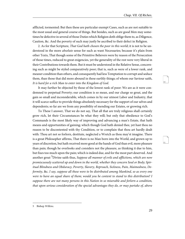afflicted, tormented: But then these are particular exempt Cases, such as are not suitable to the most usual and general course of things. But besides, such as are good Men may sometimes be defective in several of those Duties which Religion doth oblige them to, as Diligence, Caution, &c. And the poverty of such may justly be ascribed to their defect in Religion.

2. As for that Scripture, That God hath chosen the poor in this world; it is not to be understood in the more *absolute* sense for such as want Necessaries; because it's plain from other Texts, That though some of the Primitive Believers were by reason of the Persecution of those times, reduced to great exigencies, yet the generality of the rest were very liberal in their Contributions towards them. But it must be understood in the Relative Sense, concerning such as might be styled comparatively poor; that is, such as were of a lower rank, and meaner condition than others, and consequently had less Temptation to corrupt and seduce them, than those that did more abound in these earthly things; of whom our Saviour saith, It is hard for a rich Man to enter into the Kingdom of God.

It may further be objected by those of the lowest rank of poor: We are as it were condemned to perpetual Poverty; our condition is so mean, and our charge so great, and the gain so small and inconsiderable, which comes in by our utmost Labor and Industry, that it will scarce suffice to provide things absolutely necessary for the support of our selves and dependents; so far are we from any possibility of mending our Estates, or growing rich.

To These I answer, That we do not say, That all that are truly religious shall certainly grow rich, let their Circumstances be what they will; but only that obedience to God's Commands is the most likely way of improving and advancing a man's Estate, that hath means and opportunities of gaining; which though God hath denied thee, yet hast thou no reason to be discontented with thy Condition, or to complain that thou art hardly dealt with: Thou art not so forlorn, destitute, neglected a Wretch as thou may'st imagine. There is a great Philosopher affirms, That there is no Man born into the World, and grown up to years of discretion, but hath received more good at the hands of God than evil, more pleasure than pain; though he overlooks and considers not the pleasure, as thinking it due to him, but fixes too much upon the pain; which is indeed due, and for the most part deserved. And another great <sup>5</sup>Divine saith thus, Suppose all manner of evils and afflictions, which are now promiscuously scattered up and down in the world, whether they concern Soul or Body; Spiritual Blindness and Obduracy, Poverty, Slavery, Reproach, Sickness, Pain, Maimedness, Deformity, &c. I say, suppose all these were to be distributed among Mankind, so as every one were to have an equal share of them; would you be content to stand to this distribution? I suppose there are not many persons in this Nation in so miserable and forlorn a condition, that upon serious consideration of the special advantages they do, or may partake of, above

<span id="page-32-1"></span><span id="page-32-0"></span>60

<sup>5</sup> Bishop Wilkins.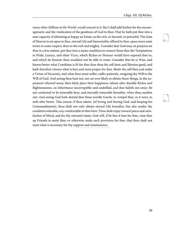<span id="page-33-1"></span><span id="page-33-0"></span>63

many other Millions in the World, would consent to it. But I shall add further for thy encouragement, and the vindication of the goodness of God to thee; That he hath put thee into a near capacity of obtaining as happy an Estate, as the rich, or learned, or powerful: The Gate of Heaven is set open to thee, eternal Life and Immortality offered to thee, upon more easie terms in some respect, than to the rich and mighty. Consider that God may on purpose set thee in a low station, put thee into a mean condition to remove from thee the Temptations to Pride, Luxury, and other Vices, which Riches or Honour would have exposed thee to, and which he foresaw thou wouldest not be able to resist. Consider that he is Wise, and knows better what Condition is fit for thee than thou thy self dost; and likewise good, and hath therefore chosen what is best and most proper for thee. Bestir thy self then and make a Virtue of Necessity, and what thou must suffer, suffer patiently, resigning thy Will to the Will of God: And seeing thou hast not, nor art ever likely to obtain those things, in the enjoyment whereof many Men falsly place their happiness, labour after durable Riches and Righteousness, an Inheritance incorruptible and undefiled, and that fadeth not away: Be not contented to be miserable here, and eternally miserable hereafter, when thou needest not: And seeing God hath denied thee these wordly Goods, to compel thee, as it were, to seek after better. This course, if thou takest, [of loving and fearing God, and keeping his Commandments], thou shalt not only obtain eternal Life hereafter, but also render thy condition tolerable, nay comfortable to thee here: Thou shalt enjoy inward peace and satisfaction of Mind, and for thy outward estate, God will, if he fees it best for thee, raise thee up Friends to assist thee; or otherwise make such provision for thee, that thou shalt not want what is necessary for thy support and maintenance.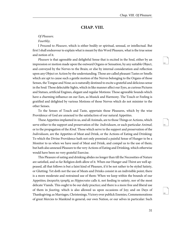### <span id="page-34-5"></span><span id="page-34-4"></span>**CHAP. VIII.**

#### <span id="page-34-0"></span>Of Pleasure.

#### Fourthly;

I Proceed to Pleasure, which is either bodily or spiritual, sensual, or intellectual. But first I shall endeavour to explain what is meant by this Word Pleasure, what is the true sense and notion of it.

Pleasure is that agreeable and delightful Sense that is excited in the Soul, either by an impression or motion made upon the outward Organs or Sensation, by any suitable Object, and conveyed by the Nerves to the Brain; or else by internal consideration and reflection upon any Object or Action by the understanding. Those are called pleasant Tastes or Smells which are apt to cause such a gentle motion of the Nerves belonging to the Organs of those Senses, the Tongue and Nose; as is naturally destined to excite a grateful and delicious sense in the Soul: Those delectable Sights, which in like manner affect our Eyes, as curious Pictures and Statues, artificial Engines, elegant and regular Motions: Those agreeable Sounds which have a charming influence on our Ears, as Musick and Harmony. The Touch or Feeling is gratified and delighted by various Motions of those Nerves which do not minister to the other Senses.

<span id="page-34-2"></span>To the Senses of Touch and Taste, appertain those Pleasures, which by the wise Providence of God are annexed to the satisfaction of our natural Appetites.

<span id="page-34-3"></span>These Appetites implanted in us, and all Animals, are to those Things or Actions, which serve either to the support and preservation of the *Individuum*, or each particular *Animal*; or to the propagation of the Kind. Those which serve to the support and preservation of the Individuum, are the Appetites of Meat and Drink, or the Actions of Eating and Drinking: To which the Divine Providence hath not only premised a painful Sense of Hunger to be a Monitor to us when we have need of Meat and Drink, and compel us to the use of them; but hath also annexed Pleasure to the very Actions of Eating and Drinking, which otherwise would have been no very grateful Exercise.

<span id="page-34-6"></span><span id="page-34-1"></span>This Pleasure of eating and drinking abides no longer than till the Necessities of Nature are satisfied, and so far Religion doth allow of it. When our Hunger and Thirst are well appeased, all that follows is but a faint kind of Pleasure, if it be not rather to be styled Satiety, or Glutting: Yet doth not the use of Meats and Drinks consist in an indivisible point; there is a more moderate and restrained use of them: When we keep within the bounds of our Appetites; ἀκορεσίη τροφῆς as Hippocrates calls it, not feeding to satiety, nor of the most delicate Viands. This ought to be our daily practice; and there is a more free and liberal use of them in feasting, which is also allowed us upon occasions of Joy; and on Days of Thanksgiving; as Marriages, Christenings, Victory over publick Enemies, Commemorations of great Mercies to Mankind in general, our own Nation, or our selves in particular: Such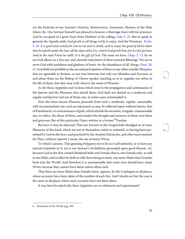<span id="page-35-3"></span><span id="page-35-2"></span><span id="page-35-1"></span>are the Festivals of our Saviour's Nativity, Resurrection, Ascension, Mission of the Holy Ghost, &c. Our Saviour himself was pleased to honour a Marriage-feast with his presence: And he accepted of a great Feast from Matthew at his calling, [Luke 5. 25](http://www.ccel.org/study/Bible:Luke.5.25). But to speak in general, the Apostle saith, God giveth us all things richly to enjoy. And the Wiseman, [Eccles](http://www.ccel.org/study/Bible:Eccl.5.18). [5. 18.](http://www.ccel.org/study/Bible:Eccl.5.18) It is good and comely for one to eat and to drink, and to enjoy the good of all his labor that he taketh under the Sun, all the days of his Use, which God giveth him; for it is his portion: And in the next Verse he saith, It is the gift of God. The same we have, Chap[. 3. 13,](http://www.ccel.org/study/Bible:Eccl.3.13) So we see God allows us a free use, and cheerful enjoyment of these outward Blessings. We are to serve God with joyfulness and gladness of heart, for the abundance of all things, *[Deut](http://www.ccel.org/study/Bible:Deut.28.47).* 28. [47](http://www.ccel.org/study/Bible:Deut.28.47). God doth not prohibit us the use and participation of these or any other sensible Pleasures, that are agreeable to Reason, or our true Interests; but only our Mistakes and Excesses, in and about them (as the Bishop of Chester speaks) teaching us so to regulate our selves in the life of them, that they may truly deserve the name of Pleasure.

<span id="page-35-0"></span>As for those Appetites and Actions which tend to the propagation and continuance of the Species and the Pleasures that attend them, God hath not denied us a moderate and regular satisfaction and use of them; nay, in some cases commanded it.

Now the most sincere Pleasure proceeds from such a moderate, regular, seasonable, well circumstantiate use; such an enjoyment as may be reflected upon without horror, fear of Punishment, or consciousness of guilt, which attends the excessive, irregular, unseasonable use, or rather, the abuse of them, and renders the thought and memory of them very bitter and grievous: But of this particular I have written in a former <sup>6</sup>Treatise.

But here it may be objected, That our Saviour in the Gospel hath abridged us of some Pleasures of this kind, which are not in themselves sinful or unlawful, as having been permitted by God to the Jews, and practised by the Ancient Patriarchs, and other men eminent for Piety, without reproof, I mean, the use of many Wives.

To which I answer, That granting *Polygamy* not to be in it self unlawful, or to have any natural turpitude in it; yet is our Saviour's Prohibition grounded upon good Reason, viz. because God at the first created Mankind Male and Female; that is, one Female only, as well as one Male; and in effect he doth so still; there being as many, nay more Males than Females born into the World: And therefore it is unreasonable that some men should have many Wives, because they cannot have them unless others lack.

That there are more Males than Females born, appears, by the Catalogues in all places, where accounts have been taken of the number of each Sex: And I doubt not but the case is the same in all places where such accounts have not been taken.

It may here be asked why these Appetites are so vehement and importunate?

<span id="page-35-5"></span><span id="page-35-4"></span>67

<sup>6</sup> Dissolution of the World. pag. 390.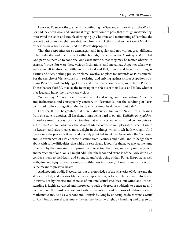<span id="page-36-4"></span><span id="page-36-3"></span>70

<span id="page-36-5"></span>71

I answer, To secure the great end of continuing the Species, and carrying on the World: For had they been weak and languid, it might have come to pass, that through inadvertency, or to avoid the labor and trouble of bringing up Children, and maintaining of Families, the greatest part of men might have abstained from such Actions, and so the Race of Mankind by degrees have been extinct, and the World dispeopled.

That these Appetites are so extravagant and irregular, and not without great difficulty to be moderated and ruled, or kept within bounds, is an effect of the Apostasy of Man: That God permits them so to continue, one cause may be, that they may be matter wherein to exercise Virtue: For were these vicious Inclinations, and inordinate Appetites taken way, were men left in absolute indifferency to Good and Evil, there could be no such thing as Virtue and Vice, nothing praise, or blame-worthy, no place for Rewards or Punishments. For the exercise of Virtue consists in resisting, and striving against vicious Appetites, subduing Passions, and mortifying of Lusts; and those that labour herein, are virtuous Persons. Those that are slothful, that lay the Reins upon the Necks of their Lusts, and follow whither they lead and hurry them away, are vicious,

<span id="page-36-1"></span>You will say, Are not these Exercises painful and repugnant to our natural Appetites and Inclinations, and consequently contrary to Pleasure? Is. not the subduing of Lusts compared to the cutting off of Members, which cannot be done without pain?

I answer, It must be granted, that there is difficulty at first in the New Birth, in passing from one state to another, all Excellent things being hard to obtain, Difficilia quæ pulchra. Indeed we are so made as not much to value that which cost us no pains; and on the contrary, as Dr. Cockburn well observes, the Mind of Man is never so well pleased, as when it useth its Reason, and always takes most delight in the things which it self hath wrought. And therefore, as he proceeds, it was, and is wisely provided, to set the Necessaries, the Comforts, and Conveniences of Life at some distance from Laziness and Sloth, and to hedge them about with some difficulties, that while we search and labour for them, we may at the same time, and by the same means improve our Intellectual Faculties, and carry on the growth and perfection of our Souls. I might add, That the labor and exercise of the Body doth also conduce much to the Health and Strength, and Well-being of that. For as Hippocrates well saith, ἄσκησις ὑγιὴς ἀοκνίη πόνων, unslothfulness in Labour, if I may make such a Word, is the means to preserve health.

<span id="page-36-2"></span><span id="page-36-0"></span>And, not only bodily Necessaries, but the knowledge of the Mysteries of Nature and the Works of God, and curious Mathematical Speculation, is to be obtained with Study and Industry. For by this use and exercise of our Intellectual Faculties, our Mind and Understanding is highly advanced and improved to such a degree, as suddenly to penetrate and comprehend the most abstruse and subtile Inventions and Notions of Naturalists and Mathematicians. And as Weapons and Utensils by lying by unoccupied do contract a Scurf or Rust, but do *usu*  $\&$  *tractatione spendescere*; become bright by handling and use; so do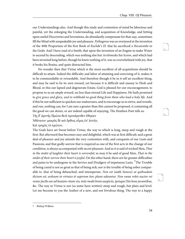<span id="page-37-4"></span><span id="page-37-3"></span><span id="page-37-2"></span>73

our Understandings also. And though this study and contention of mind be laborious and painful, yet the enlarging the Understanding, and acquisition of Knowledge, and hitting upon useful Discoveries and Inventions, do abundantly compensate for that; nay, sometimes fill the Mind with unspeakable joy and pleasure. Pythagoras was so overjoyed at the invention of the 49th Proportion of the first Book of Euclide's El. that he sacrificed a Hecatombe to the Gods: And I have read of a Smith, that upon the invention of an Engine to make Water to ascend by descending, which was nothing else but Archimedes his Screw, and which had been invented long before, though he knew nothing of it, was so overwhelmed with joy, that it broke his Brains, and quite distracted him.

No wonder then that Virtue which is the most excellent of all acquisitions should be difficult to attain. Indeed the difficulty and labor of attaining and exercising of it, makes it to be commendable or rewardable. And therefore though it be in it self an excellent thing, and may be said to be its own reward, yet because it is difficult and uneasy to Flesh and Blood, in this our lapsed and degenerate Estate, God is pleased for our encouragement, to propose to us an ample reward, no less than eternal Life and Happiness. He hath promised to give grace and glory, and to withhold no good thing from them who lead a holy life. And if this be not sufficient to quicken our endeavours, and to encourage us to strive, and wrestle, and run, nothing can; for I am sure a greater than this cannot be proposed, it containing all the good we can desire, or are indeed capable of enjoying. The Heathen Poet tells us.

<span id="page-37-0"></span>Τῆς δ᾽ ἀρετῆς ἱδρῶτα θεοὶ προπάροιθεν ἔθηκαν

Ἀθάνατοι· μακρὸς δὲ καὶ ὄρθιος οἶμος ἐπ᾽ ἀυτήν,

Καὶ τρηχὺς τὸ πρῶτον.

<span id="page-37-1"></span>The Gods have set Sweat before Virtue, the way to which is long, steep and rough at the first: But afterward that becomes easy and delightful, which was at first difficult; and a great deal of pleasure and joy attends the very contention with, and conquests of our Lusts and Passions; and that godly sorrow that is required as one of the first acts in the change of our condition, is always accompanied with secret pleasure: And as it is said of wicked Men, That in the midst of laughter their heart is sorrowful; so may it be said of good Men, That in the midst of their sorrow their heart is joyful. On the other hand, there are far greater difficulties and pains to be undergone in the Service and Drudgery of impetuous Lusts. <sup>7</sup>The Trouble of being cured is not so great as that of being sick; nor is the trouble of being sober comparable to .that of being debauched, and intemperate. Non est (saith Seneca) ut quibusdam dictum est, arduum in virtutes & asperum iter; plano adeuntur. Non vanæ vobis auctor rei venio; facilis ear ad beatam vitam via, inite modò bonis auspiciis, ipsisque Diis bene juvantibus, &c. The way to Virtue is not (as some have written) steep and rough, but plain and level. Let me become to you the Author of a new, and not frivolous thing. The way to a happy

<sup>7</sup> Bishop Wilkins.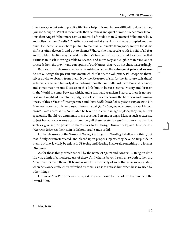<span id="page-38-5"></span><span id="page-38-4"></span>76

Life is easy, do but enter upon it with God's help: It is much more difficult to do what they [wicked Men] do. What is more facile than calmness and quiet of mind? What more laborious than Anger? What more remiss and void of trouble than Clemency? What more busy and toilsome than Cruelty? Chastity is vacant and at ease: Lust is always occupied and unquiet. He that tells Lies is hard put to it to maintain and make them good; and yet for all his shifts, is often detected, and put to shame: Whereas he that speaks truth is void of all fear and trouble. The like may be said of other Virtues and Vices compared together: So that Virtue is in it self more agreeable to Reason, and more easy and eligible than Vice; and it proceeds from the pravity and corruption of our Natures, that we do not chuse it accordingly.

<span id="page-38-1"></span><span id="page-38-0"></span>Besides, in all Pleasures we are to consider, whether the subsequent pain and sorrow do not outweigh the present enjoyment; which if it do, the voluptuary Philosophers themselves advise to abstain from them. Now the Pleasures of sin, (as the Scripture calls them) as Intemperance and Impurity do often bring upon the committers of them Pain and Sickness, and sometimes noisome Diseases in this Life; but, to be sure, eternal Misery and Distress in the World to come: Between which, and a short and transient Pleasure, there is no proportion. I might add hereto the Judgment of Seneca, concerning the filthiness and unmanliness, of these Vices of Intemperance and Lust: Nulli (saith he) turpitùs occupati sunt: No Men are more sordidly employed. Etiamsi vanâ gloriæ imagine teneantur, speciosè tamen errant: Licet avaros mihi, &c. If Men be taken with a vain image of glory, they err, but yet speciously. Should you enumerate to me covetous Persons, or angry Men, or such as exercise unjust hatred, or war one against another; all these viriliùs peccant, sin more manly: But such as give up, or prostitute themselves to Gluttony, Drunkenness, and Lust, *eorum* inhonesta labes est; their stain is dishonourable and sordid.

<span id="page-38-3"></span><span id="page-38-2"></span>Of the Pleasures of the Senses of Seeing, Hearing, and Swelling I shall say nothing, but that if duly circumstantiated, and placed upon proper Objects, they have no turpitude in them, but may lawfully be enjoyed. Of Seeing and Hearing I have said something in a former Discourse.

As for those things which we call by the name of Sports and Diversions, Religion doth likewise admit of a moderate use of these: And what is beyond such a use doth rather tire Men, than recreate them:  $^8$ It being as much the property of such things to weary a Man, when he is once sufficiently refreshed by them, as it is to refresh him when he is wearied by other things.

Of Intellectual Pleasures we shall speak when we come to treat of the Happiness of the inward Man.

<sup>8</sup> Bishop Wilkins.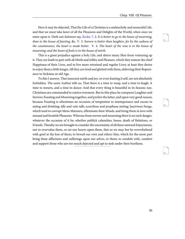<span id="page-39-5"></span><span id="page-39-4"></span>79

<span id="page-39-3"></span><span id="page-39-2"></span><span id="page-39-1"></span><span id="page-39-0"></span>Here it may be objected, That the Life of a Christian is a melancholy and mournful Life, and that we must take leave of all the Pleasures and Delights of the World, when once we enter upon it. Doth not Salomon say, [Eccles](http://www.ccel.org/study/Bible:Eccl.7.2). 7. 2. It is better to go to the house of mourning, than to the house of feasting, &c. [V. 3.](http://www.ccel.org/study/Bible:Eccl.7.3) Sorrow is better than laughter, for by the sadness of the countenance, the heart is made better.  $V$ . 4. The heart of the wise is in the house of mourning; and the heart of fools is in the house of mirth.

This is a great prejudice against a holy Life, and deters many Men from venturing up it. They are loath to part with all Mirth and Jollity and Pleasure, which they esteem the chief Happiness of their Lives, and to live more retrained and regular Lives; at least they desire to enjoy them a little longer, till they are tired and glutted with them, deferring their Repentance to Sickness or old Age.

To this I answer, That innocent mirth and joy, or even feasting it self, are not absolutely forbidden. The same Author tells us, That there is a time to weep, and a time to laugh: A time to mourn, and a time to dance: And that every thing is beautiful in its Season; nay, Christians are commanded to rejoice evermore. But in this place he compares Laughter and Sorrow; Feasting and Mourning together, and prefers the latter, and upon very good reason; because Feasting is oftentimes an occasion of temptation to intemperance and excess in eating and drinking; idle and vain talk; scurrilous and prophane jesting; lascivious Songs, which tend to corrupt Mens Manners, effeminate their Minds, and bring them in love with sensual and bruitish Pleasures. Whereas from sorrow and mourning there is no such danger, whatever the occasion of it be; whether publick calamities, losses, death of Relations, or Friends. Thereby we are brought to consider the uncertainty of all these outward Enjoyments, not to overvalue them, or set our hearts upon them, that so we may hot be overwhelmed with grief at the loss of them; to bewail our own and others Sins, which for the most part bring these afflictions and sufferings upon our selves, or them; to condole with, comfort and support those who are too much dejected and apt to sink under their burthens.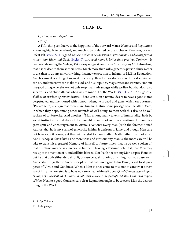### <span id="page-40-6"></span><span id="page-40-5"></span>**CHAP. IX.**

<span id="page-40-0"></span>Of Honour and Reputation.

Fifthly,

<span id="page-40-3"></span><span id="page-40-2"></span><span id="page-40-1"></span>A Fifth thing conducive to the happiness of the outward Man is Honour and Reputation a Blessing highly to be valued, and much to be preferred before Riches or Pleasures, or even Life it self. Prov[. 22. 1](http://www.ccel.org/study/Bible:Prov.22.1). A good name is rather to be chosen than great Riches, and loving favour rather than Silver and Gold. [Eccles. 7. 1.](http://www.ccel.org/study/Bible:Eccl.7.1) A good name is better than precious Ointment. It is a Proverb among the Vulgar, Take away my good name, and take away my life: Intimating, that it is as dear to them as their Lives. Much more then will a generous person chuse rather to die, than to do any unworthy thing, that may expose him to Infamy, or Mali his Reputation. And because it is a thing of so great excellency, therefore we do pay it as the best service we can do, and return we can make to God. and his Deputies, Magistrates and Parents. Honour is a good thing, whereby we not only reap many advantages while we live, but that doth also survive us, and abide after us when we are gone out of the World, *Psal.* 112. 6. *The Righteous* shall be in everlasting remembrance. There is in Man a natural desire to have a good Name perpetuated and mentioned with honour when, he is dead and gone; which (as a learned  $^9$ Prelate saith) is a sign that there is in Humane Nature some presage of a Life after Death, in which they hope, among other Rewards of well doing, to meet with this also, to be well spoken of to Posterity. And another  $10$ Man among many tokens of immortality, hath by secret instinct a natural desire to be thought of and spoken of in after-times. Honour is a great spur and encouragement to virtuous Actions: Every Man (saith the forementioned Author) that hath any spark of generosity in him, is desirous of fame; and though Men care not how soon it comes, yet they will be glad to have it after Death, rather than not at all. And (Bishop Wilkms faith) The more wise and virtuous any Man is, the more care will he take to transmit a grateful Memory of himself to future times, that he be well spoken of, that his Name may be as a precious Ointment, leaving a Perfume behind it; that Men may rise up at the mention of it, and call him blessed. Nor (saith he) can any Man despise Honour; but he that doth either despair of it, or resolve against doing any thing that may deserve it. And certainly (saith the Arch-Bishop) he that hath no regard to his Fame, is lost to all purposes of Virtue and Goodness. When a Man is once come to this, not to care what others say of him; the next step is to have no care what he himself does. Quod Conscientia est apud Deum, id fama est apud Homines: What Conscience is in respect of God, that Fame is in respect of Men. Next to a good Conscience, a clear Reputation ought to be to every Man the dearest thing in the World.

<span id="page-40-4"></span><sup>9</sup> A. Bp. Tillotson.

<sup>10</sup> Bishop Lloyd.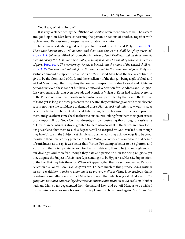<span id="page-41-9"></span><span id="page-41-8"></span>83

<span id="page-41-10"></span>84

You'll say, What is Honour?

It is very Well defined by the  $^{11}$ Bishop of *Chester*, often mentioned, to be, The esteem and good opinion Men have concerning the person or actions of another, together with such external Expressions of respect as are suitable thereunto.

<span id="page-41-5"></span><span id="page-41-3"></span><span id="page-41-2"></span><span id="page-41-1"></span><span id="page-41-0"></span>Now this so valuable a good is the peculiar reward of Virtue and Piety, 1 Sam[. 2. 30.](http://www.ccel.org/study/Bible:1Sam.2.30) Them that honour me, 1 will honour, and them that despise me, shall be lightly esteemed, [Prov. 4. 8, 9](http://www.ccel.org/study/Bible:Prov.4.8-Prov.4.9). Solomon saith of Wisdom, that is the fear of God, Exalt her, and she shall promote thee, and bring thee to honour. She shall give to thy head an Ornament of grace, and a crown of glory, [Prov. 10. 7.](http://www.ccel.org/study/Bible:Prov.10.7) The memory of the just is blessed, but the name of the wicked shall rot, [Prov. 3. 35.](http://www.ccel.org/study/Bible:Prov.3.35) The wise shall inherit glory: But shame shall be the promotion of fools. Piety and Virtue command a respect from all sorts of Men. Good Men hold themselves obliged to give it, by the Command of God, and the excellency of the thing, it being a gift of God; and wicked Men though they may deny that outward respect that is due to good and righteous persons; yet even these cannot but have an inward veneration for Goodness and Religion. It is very remarkable, that even the rude and licentious Vulgar at Rome had such a reverence of the Person of Cato, that though such lewdness was permitted by the Law in the Festival of *Flora*, yet so long as he was present in the Theatre, they could not go on with their obscene sports, nor have the confidence to demand those: Florales joci nudandarum meretricum, as Seneca calls them. The wicked indeed hate the righteous, because his life is a reproof to them, and gives them some check in their vicious courses, taking from them their great excuse of the impossibility of God's Commandments; and demonstrating, that through the assistance of Divine Grace, which is always granted to them who do what in them lies, and pray for it; it is possible to obey them to such a degree as will be accepted by God: Wicked Men though they hate Virtue in the Subject, yet simply and abstractedly they acknowledge it to be good; though in their practice they prefer Vice before Virtue; yet never any arrived to to that degree of sottishness, as to say, it was better than Virtue: For example; better to be a glutton, and a drunkard than a temperate Person; to cheat and defraud, than to be just and righteous in our dealings: And therefore, though they hate and persecute Men for being religious, yet they disguise the Subject of their hatred, pretending it to be Hypocrisie, Heresie, Superstition, or the like, that they hate them for. Whence it appears, that they are self condemned Persons. Seneca in his Fourth Book, De Beneficiis cap. 17. hath much to this purpose, Adeò gratiosa est virtus (saith he) ut insitum etiam malis sit probare meliora: Virtue is so gracious, that it is naturally ingrafted even in bad Men to approve that which is good. And again. Nec quisquam tantum à naturalis lege descivit & hominem exuit, ut animi causâ malus sit. Neither hath any Man so far degenerated from the natural Law, and put off Man, as to be wicked for his minds sake, or only because it is his pleasure to be so. And again, *Maximum hoc* 

<span id="page-41-7"></span><span id="page-41-6"></span><span id="page-41-4"></span><sup>11</sup> Dr. Wilkins.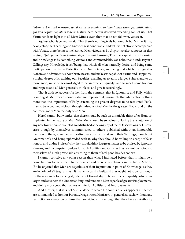habemus à naturâ meritum, quod virtus in omnium animos lumen suum permittit, etiam qui non sequuntur, illam vident: Nature hath herein deserved exceeding well of us, That Virtue sends its light into all Mens Minds, even they that do not follow it, yet see it.

<span id="page-42-0"></span>Against what is generally said, That there is nothing truly honourable but Virtue, it may be objected, that Learning and Knowledge is honourable, and yet it is not always accompanied with Virtue, there being some learned Men vicious, as St. Augustine also supposes in that Saying, *Quid prodest esse peritum*  $\mathfrak{G}$  *periturum?* I answer, That the acquisition of Learning and Knowledge is by something virtuous and commendable, viz. Labour and Industry in a Calling; nay, Knowledge it self being that which all Men naturally desire, and being some participation of a divine Perfection, viz. Omniscience; and being that which distinguishes us from and advances us above brute Beasts, and makes us capable of Virtue and Happiness, a higher degree of it, exalting our Faculties, enabling us to ad in a larger Sphere, and to do more good, must be acknowledged to be an excellent quality, and to merit some honour and respect; and all Men generally think so, and give it accordingly.

That it doth so, appears further from the contrary, that is, Ignorance and Folly, which is among all Men very dishonourable and reproachful; insomuch, that Men abhor nothing more than the imputation of Folly; esteeming it a greater disgrace to be accounted Fools, than to be accounted vicious; though indeed wicked Men be the greatest Fools, and on the contrary, godly Men the only wise Men.

Here I cannot but wonder, that there should be such an unsatiable thirst after Honour, implanted in the nature of Man: Why Men should be so jealous of losing the reputation of any new Invention; so troubled and disturbed at having any of their Observations or Discoveries, though by themselves communicated to others, published without an honourable mention of them; so nettled at the discovery of any mistaken in their Writings, though but Grammatical; and being upbraided with it, why they should be willing to accept of false honour and undue Praises: Why they should think it a great matter to be praised by ignorant Persons, and incompetent Judges for such Abilities and Gifts, as they are not conscious to themselves of; Doth praise add any thing to them of real good besides conceit?

I cannot conceive any other reason than what I intimated before, that it might be a powerful spur to incite them to the practice and exercise of religious and virtuous Actions; If it be objected that Men are as jealous of their Reputation in point of Knowledge, as they are in point of Virtue; I answer, It is an error, and a fault, and they ought not to be so; though for the reasons before alledged, I deny not Knowledge to be an excellent quality, which enlarges and advances the Understanding, and renders a Man capable of greater Employments, and doing more good than others of inferior Abilities, and Improvements.

And further, that it is not Virtue alone to which Honour is due; as appears in that we are commanded to honour Parents, Magistrates, Ministers in general, as such, without any restriction or exception of those that are vicious. It is enough that they have an Authority <span id="page-42-1"></span>85

<span id="page-42-3"></span><span id="page-42-2"></span>86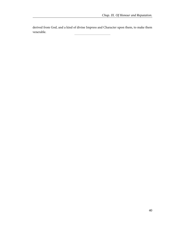derived from God, and a kind of divine Impress and Character upon them, to make them venerable.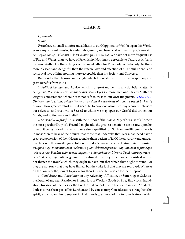### <span id="page-44-5"></span>**CHAP. X.**

#### <span id="page-44-0"></span>Of Friends.

#### Sixthly,

<span id="page-44-3"></span>Friends are no small comfort and addition to our Happiness or Well-being in this World: Scarce any outward Blessing is so desirable, useful, and beneficial as Friendship. Cicero saith, Non aquâ non igni pluribus in locis utimur quàm amicitiâ: We have not more frequent use of Fire and Water, than we have of Friendship. Nothing so agreeable to Nature as it, (saith the same Author) nothing thing so convenient either for Prosperity, or Adversity: Nothing more pleasant and delightful than the sincere love and affection of a Faithful Friend, and reciprocal love of him; nothing more acceptable than his Society and Converse.

<span id="page-44-4"></span>But besides the pleasure and delight which Friendship affords us, we reap many and great Benefits from it. As,

<span id="page-44-1"></span>1. Faithful Counsel and Advice, which is of great moment in any doubtful Matter; it being true, *Plus vident oculi quàm oculus*: Many Eyes see more than one: Or any Matter of weighty concernment, wherein it is not safe to trust to our own Judgments, *Prov.* 27. 9. Ointment and perfume rejoice the heart; so doth the sweetness of a man's friend by hearty counsel. How great comfort must it needs be to have one whom we may securely unbosom our selves to, and trust with a Secret? to whom we may open our Griefs? disburthen our Minds, and so find ease and relief?

<span id="page-44-6"></span><span id="page-44-2"></span>2. Seasonable Reproof: This (saith the Author of the Whole Duty of Man) is of all others the most peculiar Duty of a Friend. I might add, the greatest benefit he can bestow upon his Friend, it being indeed that which none else is qualified for. Such an unwillingness there is in most Men to hear of their faults, that those that undertake that Work, had need have a great prepossession of their Hearts to make them patient of it. Of the absurdity and unreasonableness of this unwillingness to be reproved, Cicero saith very well, Atque illud absurdum est, quod ii qui monentur, eam molestiam quam debent capere non capiunt, eam capiuns quâ debent carere. Peccâsse enim se non anguntur, objurgari molestè ferunt: Quod contrà oportebat, delicto dolere, objurgatione gaudere. It is absurd, that they which are admonished receive not thence the trouble which they ought to have, but that which they ought to want. For they are not sorry that they have finned, but they take it ill that they are reproved. Whereas on the contrary they ought to grieve for their Offence, but rejoice for their Reproof.

<span id="page-44-7"></span>3. Condolence and Consolation in any Adversity, Affliction, or Suffering; as Sickness, the Death of any near Relation or Friend, loss of Worldly Goods by Fire, Shipwrack, Inundation, Invasion of Enemies, or the like. He that condoles with his Friend in such Accidents, doth as it were bear part of his Burthen, and by consolatory Considerations strengthens his Spirit, and enables him to support it. And there is great need of this to some Natures, which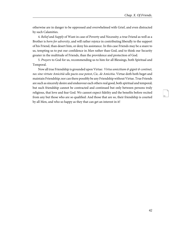otherwise are in danger to be oppressed and overwhelmed with Grief, and even distracted by such Calamities.

4. Relief and Supply of Want in case of Poverty and Necessity; a true Friend as well as a Brother is born for adversity, and will rather rejoice in contributing liberally to the support of his Friend, than desert him, or deny his assistance. In this case Friends may be a snare to us, tempting us to put our confidence in Man rather than God, and to think our Security greater in the multitude of Friends, than the providence and protection of God.

<span id="page-45-0"></span>5. Prayers to God for us, recommending us to him for all Blessings, both Spiritual and Temporal.

<span id="page-45-1"></span>Now all true Friendship is grounded upon Virtue: Virtus amicitiam  $\mathcal{E}$  gignit  $\mathcal{E}$  continet, nec sine virtute Amicitiâ ullo pacto esse potest, Cic. de Amicitia. Virtue doth both beget and maintain Friendship; nor can there possibly be any Friendship without Virtue. True Friends are such as sincerely desire and endeavour each others real good, both spiritual and temporal; but such friendship cannot be contracted and continued but only between persons truly religious, that love and fear God. We cannot expect fidelity and the benefits before recited from any but those who are so qualified: And those that are so, their friendship is courted by all Men, and who so happy as they that can get an interest in it!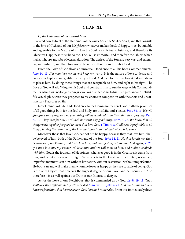### <span id="page-46-10"></span>**CHAP. XI.**

#### <span id="page-46-0"></span>Of the Happiness of the Inward Man.

I Proceed now to treat of the Happiness of the Inner Man, the Soul or Spirit, and that consists in the love of God, and of our Neighbour; whatever makes the Soul happy, must be suitable and agreeable to the Nature of it. Now the Soul is a spiritual substance, and therefore its Objective Happiness must be so too. The Soul is immortal, and therefore the Object which makes it happy must be of eternal duration. The desires of the Soul are very vast and extensive; nay, infinite; and therefore not to be satisfied but by an Infinite Good.

<span id="page-46-5"></span>From the Love of God flows an universal Obedience to all his holy Commandments, John [14. 13.](http://www.ccel.org/study/Bible:John.14.13) If a man love me, he will keep my words. It is the nature of love to desire and endeavour to please and gratifie the Party beloved: And therefore he that loves God will labour to please him, by doing those things that are acceptable to him, and right in his fight. The Love of God will add Wings to his Soul, and constrain him to run the ways of his Commandments, which will no longer seem grievous or burthensome to him, but pleasant and delightful; yea, eligible, were they proposed to his choice in competition with the short and unsatisfactory Pleasures of Sin.

<span id="page-46-9"></span><span id="page-46-8"></span><span id="page-46-3"></span><span id="page-46-2"></span>Now Holiness of Life, and Obedience to the Commandments of God, hath the promises of all good things both for the Soul and Body; for this Life, and a better, Psal[. 84. 11.](http://www.ccel.org/study/Bible:Ps.84.11) He will give grace and glory, and no good thing will he withhold from them that live uprightly. [Psal.](http://www.ccel.org/study/Bible:Ps.34.10) [34. 10](http://www.ccel.org/study/Bible:Ps.34.10). They that fear the Lord shall not want any good thing. [Rom. 8. 28.](http://www.ccel.org/study/Bible:Rom.8.28) We know that all things work together for good to them that love God. [1 Tim. 4. 8](http://www.ccel.org/study/Bible:1Tim.4.8). Godliness is profitable to all things, having the promises of the Life, that now is, and of that which is to come.

<span id="page-46-11"></span><span id="page-46-7"></span><span id="page-46-6"></span>Moreover those that love God, cannot but be happy, because they that love him, shall be beloved of him, both of the Father, and of the Son, *John* [14. 21](http://www.ccel.org/study/Bible:John.14.21). He that loveth me, shall be beloved of my Father , and I will love him, and manifest my self to him. And again, [V. 25.](http://www.ccel.org/study/Bible:John.14.25) If a man love me, my Father will love him, and we will come to him, and make our abode with him. God is the fountain of Happiness; whatever good is in the Creature, it came from him, and is but a Beam of his Light: Whatever is in the Creature in a limited, restrained, imperfect manner? is in him without limitation, without restriction, without imperfection. He both can and will make them whom he loves as happy as they are capable of being. God is the only Object: that deserves the highest degree of our Love, and he requires it: And therefore it is as well against our Duty as our Interest to deny it.

<span id="page-46-4"></span><span id="page-46-1"></span>As for the Love of our Neighbour, that is commanded us by God, Levit[. 19. 18](http://www.ccel.org/study/Bible:Lev.19.18). Thou shalt love thy neighbour as thy self, repeated Matt[. xx. 9](http://www.ccel.org/study/Bible:Matt.20.9). 1 [John](http://www.ccel.org/study/Bible:1John.4.21) 4. 21. And this Commandment have we from him, that he who loveth God, love his Brother also. From this immediately flows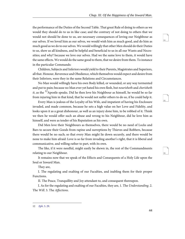the performance of the Duties of the Second Table. That great Rule of doing to others as we would they should do to us in like case; and the contrary of not doing to others that we would not should be done to us, are necessary consequences of loving our Neighbour as our selves. If we loved him as our selves, we would wish him as much good, and do him as much good as we do to our selves. We would willingly that other Men should do their Duties to us, shew us all kindness, and be helpful and beneficial to us in all our Wants and Necessities; and why? because we love our selves. Had we the same love to them, it would have the same effects. We would do the same good to them, that we desire from them. To instance in the particular Commands:

Children, Subjects and Inferiors would yield to their Parents, Magistrates and Superiors, all that. Honour, Reverence and Obedience, which themselves would expect and desire from their Inferiors, were they in the same Relations and Circumstances.

No Man would willingly have his own Body killed, or wounded, or any way tormented and put to pain; because no Man ever yet hated his own flesh, but nourisheth and cherisheth it, as the <sup>12</sup>Apostle speaks. Did he then love his Neighbour as himself, he would be so far from injuring him in that kind, that he would not suffer others to do so, if he could help it.

Every Man is jealous of the Loyalty of his Wife, and impatient of having his Enclosure invaded, and made common, because he sets a high value on her Love and Fidelity, and looks upon it as a great dishonour, as well as an injury done him, to be robbed of it. Think we then he would offer such an abuse and wrong to his Neighbour, did he love him as himself, and were as tender of his Reputation as his own.

Did Men love their Neighbours as themselves, there would be no need of Locks and Bars to secure their Goods from rapine and surreptions by Thieves and Robbers, because there would be no such; so that every Man might lie down securely, and there would be none to make him afraid: Love is so far from invading another's right, that it is liberal and communicative, and willing rather to part, with its own.

The like, if it were needful, might easily be shewn in, the rest of the Commandments relating to our Neighbour.

It remains now that we speak of the Effects and Consequents of a Holy Life upon the Soul or Inward Man.

They are,

I. The regulating and exalting of our Faculties, and inabling them for their proper Functions.

II. The Peace, Tranquillity and Joy attendant to, and consequent thereupon.

<span id="page-47-0"></span>I. As for the regulating and exalting of our Faculties, they are, 1. The Understanding. 2. The Will. 3. The Affections.

<span id="page-47-1"></span>94

<span id="page-47-3"></span><span id="page-47-2"></span>95

<sup>12</sup> Eph[. 5. 29.](http://www.ccel.org/study/Bible:Eph.5.29)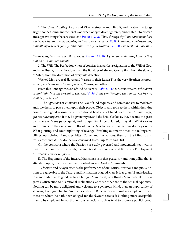<span id="page-48-3"></span><span id="page-48-2"></span><span id="page-48-1"></span>1. The Understanding: As Sin and Vice do stupifie and blind it, and disable it to judge aright; so the Commandments of God when obeyed do enlighten it, and enable it to discern and approve things that are excellent, Psalm 119.98. Thou through thy Commandments hast made me wiser than mine enemies; for they are ever with me,  $V.$  99. I have more understanding than all my teachers; for thy testimonies are my meditation. [V. 100](http://www.ccel.org/study/Bible:Ps.119.100). I understand more than

<span id="page-48-0"></span>the ancients, because I keep thy precepts. [Psalm 111. 10.](http://www.ccel.org/study/Bible:Ps.111.10) A good understanding have all they that do his Commandments.

2. The Will: The Perfection whereof consists in a perfect resignation to the Will of God; and true liberty, that is, freedom from the Bondage of Sin and Corruption, from the slavery of Satan, from the dominion of every vile Affection.

<span id="page-48-5"></span><span id="page-48-4"></span>Wicked Men are real Slaves and Vassals to their Lusts: This the very Heathen acknowledged; as Cicero and Horace, Juvenal, Persius, and others.

From this Bondage the Son of God delivers us, *[John](http://www.ccel.org/study/Bible:John.8.34) 8.34.* Our Saviour saith, *Whosoever* committeth sin is the servant of sin. And [V. 36](http://www.ccel.org/study/Bible:John.8.36). If the son therefore shall make you free, ye shalt be free indeed.

<span id="page-48-6"></span>3 . The Affections or Passions: The Law of God requires and commands us to moderate and rule them, to place them upon their proper Objects, and to keep them within their due bounds; and good reason there is we should hold a strict hand over them: Animum rege, *qui nisi paret imperat.* If they be given way to, and the Bridle let loose, they become the great disturbers of Mens peace, quiet, and tranquillity; Anger, Hatred, Envy, &c. What storms and tumults do they raise in the Breast? What Mischievous Imaginations do they excite? What plotting, and counterplotting of revenge? Breaking out many times into railings, revilings, opprobrious Language, bitter Curses and Execrations: they toss the Mind to and fro, as contrary Winds do the Sea, causing it to cast up Mire and Dirt.

On the contrary; where the Passions are duly governed and moderated, kept within their proper bounds and chanels, the Soul is calm and serene, and fit for any Employment or Exercise civil or religious.

II. The Happiness of the Inward Man consists in that peace, joy and tranquillity that is attendant upon, or consequent to our obedience to God's Commands.

1. Pleasure and Delight attends the performance of our Duties. Virtuous and pious Actions are agreeable to the Nature and Inclinations of good Men: It is as grateful and pleasing to a good Man to do good, as to an hungry Man to eat, or a thirsty Man to drink. It is as great a satisfaction to his rational Inclinations, as those other are to the sensual Appetites. Nothing can be more delightful and welcome to a generous Mind, than an opportunity of shewing it self grateful, to Parents, Friends and Benefactors, and making ample returns to those by whom he hath been obliged for the favours received: Nothing more acceptable than to be employed in worthy Actions, especially such as tend to promote publick good, <span id="page-48-7"></span>[97](http://www.ccel.org/study/Bible:Ps.111.10)

<span id="page-48-9"></span><span id="page-48-8"></span>98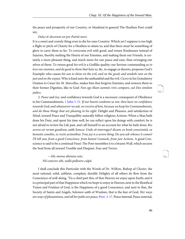<span id="page-49-2"></span>the peace and prosperity of our Country, or Mankind in general The Heathen Poet could say,

#### Dulce & decorum est pro Patriâ mori.

It is a sweet and comely thing even to die for ones Country: Which yet I suppose is too high a flight or pitch of Charity for a Heathen to attain to; and that there must be something of glory to carry them so far. To overcome evil with good, and return Kindnesses instead of Injuries, thereby melting the Hearts of our Enemies, and making them our Friends, is certainly a more pleasant thing, and much more for our peace and ease, than revenging our selves of them. To return good for evil is a Godlike quality; our Saviour commanding us to love our enemies, and do good to them that hate us, &c. to engage us thereto, proposes God's Example; who causes his sun to shine on the evil, and on the good; and sendeth rain on the just and on the unjust. Who is kind unto the unthankful and the evil. Cicero in his Gratulatory Oration to Cæsar for M. Marcellus, makes him that forgives Enemies, and restores them to their former Dignities, like to God: Non ego illum summis viris comparo, sed Deo similem judico.

<span id="page-49-5"></span><span id="page-49-4"></span><span id="page-49-1"></span>2. Peace and Joy, and confidence towards God is a necessary consequent of Obedience to his Commandments, 1 John 3.21. If our hearts condemn us not, then have we confidence towards God; and whatsoever we ask, we receive of him, because we keep his Commandments, and do those things that are pleasing in his sight. Delight and Pleasure, and satisfaction of Mind, inward Peace and Tranquillity naturally follow religious Actions: When a Man hath done his Duty, and spent his time well, he can reflect upon his doings with comfort; he is not afraid to review his Life past, and call himself to an account for what he hath done; Res severa est verum gaudium, saith Seneca: Unde sit interrogas? dicam; ex bonâ conscientiâ, ex honestis consiliis, ex rectis actionibus: True joy is a severe thing: Do you ask whence it comes? I'll tell you; from a good Conscience, from honest Counsels, from just Actions. A good Conscience is said to be a continual Feast: The Poet resembles it to a brazen Wall, which secures the Soul from all inward Trouble and Disquiet, Fear and Terror.

<span id="page-49-3"></span>—Hic murus aheneus esto, Nil conscire sibi, nullâ pallesere culpâ.

<span id="page-49-0"></span>I shall conclude this Particular with the Words of Dr. Wilkins, Bishop of Chester, the most rational, solid, sublime, compleat, durable Delights of all others do flow from the Conscience of well-doing. 'Tis a chief part this, of that Heaven we enjoy upon Earth; and it is a principal part of that Happiness which we hope to enjoy in Heaven; next to the Beatifical Vision and Fruition of God, is the Happiness of a good Conscience, and next to that, the Society of Saints and Angels, Solomon saith of Wisdom, that is the fear of God, Her ways are ways of pleasantness, and all her paths are peace, [Prov. 3. 17.](http://www.ccel.org/study/Bible:Prov.3.17) Peace internal, Peace external,

<span id="page-49-7"></span><span id="page-49-6"></span> $100$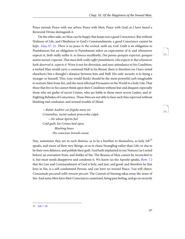Peace eternal: Peace with our selves; Peace with Men; Peace with God; as I have heard a Reverend Divine distinguish it.

<span id="page-50-6"></span><span id="page-50-4"></span><span id="page-50-1"></span>On the other side, no Man can be happy that keeps not a good Conscience: But without Holiness of Life, and Obedience to God's Commandments, a good Conscience cannot be kept, *Esay* [57. 21.](http://www.ccel.org/study/Bible:Isa.57.21) There is no peace to the wicked, saith my God. Guilt is an obligation to Punishment; but an obligation to Punishment infers an expectation of it; and whosoever expects it, doth really suffer it: as Seneca excellently, Dat pœnas quisquis expectat; quisquis autem meruit, expectat: That man doth really suffer punishment, who expects it: But whosoever hath deserved it, expects it. Were it not for diversion, and non-attendance to his Condition, a wicked Man would carry a continual Hell in his Breast; there is therefore (as I have noted elsewhere) but a thought's distance between him and Hell: His only security is in being a stranger to himself. This, (one would think) should be the most powerful curb imaginable to restrain Men from Sin, and the most effectual Persuasive in the World to a holy Life; That those that live in Sin cannot think upon their Condition without fear and disquiet; especially those who are guilty of secret Crimes, who are liable to those more severe Lashes, and affrighting Rebukes of Conscience. These Men are not able to hear such Sins reproved without blushing and confusion, and inward trouble of Mind;

<span id="page-50-7"></span><span id="page-50-5"></span>— Rubet Auditor cui frigida mens est Crimmibus, tacitâ sudant præcordia culpâ. —He whose Spirits feel Cold guilt, his Crimes laid open, Blushing hears His conscious Intrails sweat.

<span id="page-50-3"></span><span id="page-50-2"></span>Nay, sometimes they are in such distress, as to be a burthen to themselves, as holy  $Job^{13}$ speaks, and weary of their very Beings, so as to chuse Strangling rather than Life; or else to be their own delators, and publish their guilt. God hath implanted in our Natures (as I noted before) an aversation from, and dislike of Sin: The Reason of Man cannot be reconciled to it, but must needs disapprove and condemn it. We know (as the Apostle speaks, [Rom](http://www.ccel.org/study/Bible:Rom.7.12). 7.) that the Law and Commandment of God is holy, and just, and good; and therefore he that lives in Sin, is a self-condemned Person, and can have no inward Peace, You will object, Consuetudo peccandi tollit sensum peccati: The Custom of Sinning takes away the sense of Sin: And some Men have their Consciences cauterized, being past feeling, and go on securely

<span id="page-50-0"></span><sup>13</sup> [Job 7. 20.](http://www.ccel.org/study/Bible:Job.7.20)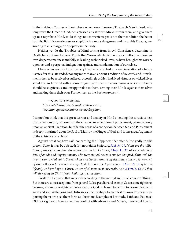in their vicious Courses without check or remorse. I answer, That such Men indeed, who long resist the Grace of God, he is pleased at last to withdraw it from them, and give them up to a reprobate Mind, to do things not convenient; yet is not their condition the better for this; But this senselesness or stupidity is a more dangerous and incurable Disease, answering to a Lethargy, or Apoplexy in the Body.

Neither yet do the Troubles of Mind arismg from in evil Conscience, determine in Death, but continue for ever. This is that Worm which dieth not; a sad reflection upon our own desperate madness and folly in leading such wicked Lives, as have brought this Misery upon us; and a perpetual indignation against, and condemnation of our selves.

I have often wondred that the very Heathens, who had no clear Revelation of a future Estate after this Life ended, nor any more than an ancient Tradition of Rewards and Punishments then to be received or suffered, accordingly as Men had lived virtuous or wicked Lives should be so terrified with a sense of guilt; and that the consciousness of secret Crimes should be so grievous and insupportable to them, arming their Minds against themselves and making them their own Tormentors, as the Poet expresses it,

<span id="page-51-4"></span>—Quos diri conscia facti Mens habet attonitos, & surdo verbere cædit, Occultum quatiente animo tortore flagellum.

I cannot but think that this great terrour and anxiety of Mind attending the consciousness of any heinous Sin, is more than the effect of an expedition of punishment, grounded only upon an ancient Tradition; but that the sense of a connexion between Sin and Punishment is deeply imprinted upon the Soul of Man, by the Finger of God; and is one great Argument of the existence of a Deity.

<span id="page-51-3"></span><span id="page-51-2"></span><span id="page-51-1"></span><span id="page-51-0"></span>Against what we have said concerning the Happiness that attends the godly in this present State, it may be objected: Is it not said in Scripture, *Psal.* 34. 19. Many are the afflic-tions of the righteous. And do we not read in the Hebrews, [Chap. 11. 37](http://www.ccel.org/study/Bible:Heb.11.37). of some who had trial of bonds and imprisonments, who were stoned, sawn in sunder, tempted, slain with the sword, wandred about in Sheeps-skins and Goats-skins, being destitute, afflicted, tormented, of whom the world was not worthy. And doth not the Apostle say, 1 Cor[. 15. 19.](http://www.ccel.org/study/Bible:1Cor.15.19) If in this life only we have hope in Christ, we are of all men most miserable. And [2 Tim. 3. 12](http://www.ccel.org/study/Bible:2Tim.3.12). All that will live godly in Christ Jesus shall suffer persecution.

To all this I answer, that we speak according to the natural and usual course of things. But there are some exceptions from general Rules, peculiar and exempt Cases; some righteous persons, whom for weighty and wise Reasons God is pleased to permit to be exercised with great and sore Afflictions and Distresses; either perhaps to manifest his own Power in supporting them; or to set them forth as illustrious Examples of Fortitude, Faith and Patience. Did not righteous Men sometimes conflict with adversity and Misery, there would be no <span id="page-51-5"></span> $104$ 

<span id="page-51-7"></span><span id="page-51-6"></span>105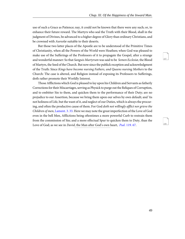<span id="page-52-2"></span>use of such a Grace as Patience; nay, it could not be known that there were any such; or, to enhance their future reward. The Martyrs who seal the Truth with their Blood, shall in the judgment of Divines, be advanced to a higher degree of Glory than ordinary Christians, and be crowned with Aureolæ suitable to their deserts.

<span id="page-52-3"></span>But those two latter places of the Apostle are to be understood of the Primitive Times of Christianity, when all the Powers of the World were Heathen; when God was pleased to make use of the Sufferings of the Professors of it to propagate the Gospel, after a strange and wonderful manner: So that Sanguis Martyrum was said to be Semen Ecclesiæ, the Blood of Martyrs, the Seed of the Church. But now since the publick reception and acknowledgment of the Truth: Since Kings have become nursing Fathers, and Queens nursing Mothers to the Church: The case is altered, and Religion instead of exposing its Professors to Sufferings, doth rather promote their Worldly Interest.

<span id="page-52-1"></span><span id="page-52-0"></span>Those Afflictions which God is pleased to lay upon his Children and Servants as fatherly Corrections for their Miscarriages, serving as Physick to purge out the Reliques of Corruption, and to embitter Sin to them, and quicken them to the performance of their Duty; are no prejudice to our Assertion, because we bring them upon our selves by own default; and 'tis not holiness of Life, but the want of it, and neglect of our Duties, which is always the procuring, and often the productive cause of them. For God doth not willingly afflict nor grieve the Children of men, [Lament. 3. 33](http://www.ccel.org/study/Bible:Lam.3.33). Here we may note the great imperfection of the Love of God even in the bell Men, Afflictions being oftentimes a more powerful Curb to restrain them from the commission of Sin; and a more effectual Spur to quicken them to Duty, than the Love of God; as we see in *David*, the Man after God's own heart, *Psal.* 119. 67.

<span id="page-52-5"></span><span id="page-52-4"></span>107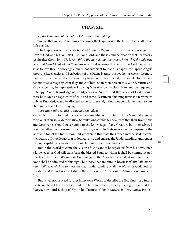### **CHAP. XII.**

#### <span id="page-53-0"></span>Of the Happiness of the Future Estate, or of Eternal Life.

IT remains that we say something concerning the Happiness of the Future Estate after this Life is ended.

<span id="page-53-1"></span>The Happiness of this Estate is called *Eternal Life*, and consists in the Knowledge and Love of God, and his Son Jesus Christ our Lord, and the joy and delectation that necessarily results therefrom, [John 17. 3](http://www.ccel.org/study/Bible:John.17.3). And this is life eternal, that they might know thee the only true God, and Jesus Christ whom thou hast sent. That is, know thee to be their God, know thee so as to love thee. Knowledge alone is not sufficient to make us happy; the lapsed Angels know the Excellencies and Perfections of the Divine Nature, but yet they are never the more happy for that Knowledge, because they have no interest in God, nor are like to reap any benefit or advantage by what they know of him. So in Men here in this World, Virtue and Knowledge may be separated: A knowing Man may be a vicious Man, and consequently unhappy. Again, Knowledge of the Mysteries of Nature, and the Works of God, though there be in Man an eager third after it, and some Pleasure in obtaining it: yet if it terminates only in Knowledge, and be directed to no further end, it doth not contribute much to our Happiness. It is a known saying,

#### <span id="page-53-2"></span>Scire tuum nihil est nisi te scire hoc sciat alter;

And truly I am apt to think there may be something of truth in it. Those Men that exercise their Wits in curious Mathematical Speculations, could they be allured that their Inventions and Discoveries should never come to the knowledge of any Creature but themselves, I doubt whether the pleasure of the Intention, would in their own esteem compensate the labor and toil of the Inquisition. But yet even in this State thus much may be said in commendation of Knowledge; that it doth advance and enlarge the Understanding, and render the Soul capable of a greater degree of Happiness, as I have said before.

But in the World to come the Vision of God cannot be separated from his Love. Such a knowledge of God will transform the blessed Souls to whom it shall be communicated into his holy Image; We shall be like him (saith the Apostle) for we shall see him as he is. None shall be admitted to this sight, but those that are pure in heart; Without holiness no man shall see God. And to these the clear understanding of all the Works of God, both of Creation and Providence, will stir up the most exalted Affections of Admiration, Love, and Joy.

But I shall not proceed further in my own Words to describe the Happiness of a future Estate, or eternal Life, because I find it so fully and clearly done by the Right Reverend Dr. *Patrick*, now Lord Bishop of *Ely*, in his Treatise of *The Witnesses to Christianity*, Part 2<sup>d</sup>.

<span id="page-53-4"></span><span id="page-53-3"></span> $109$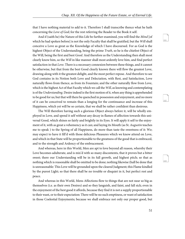that I have nothing material to add to it. Therefore I shall transcribe thence what he hath concerning the Love of God; for the rest referring the Reader to the Book it self.

And if (saith he) the Nature of this Life be further examined, you will find the Mind [of which he had spoken before] is not the only Faculty that shall be gratified, but the Will shall conceive a Love as great as the Knowledge of which I have discoursed. For as God is the highest Object of the Understanding, being the prime Truth, so he is the chiefest Object of the Will, being the first and best Good. And therefore as the Understanding then shall most clearly know him, so the Will in like manner shall most ardently love him, and find perfect satisfaction in that Love. There is a necessary connexion between these things, and it cannot be otherwise, but that from the best Good clearly known there will flow the greatest Love, drawing along with it the greatest delight, and the most perfect repose. And therefore to see God contains in its Notion both Love and Delectation, with Rest, and Satisfaction, Love naturally flows from thence, as from its Fountain; and the other naturally flow from Love, which is the highest Act of that Faculty which we call the Will, as knowing and contemplating is of the Understanding. Desire indeed is the first motion of it, when any thing is apprehended to be good for us; but that will there be quenched in possession and enjoyment, and no more of it can be conceived to remain than a longing for the continuance and increase of this Happiness, which yet will be so certain, that we shall be rather confident than desirous.

The Will therefore having such a glorious Object always before it, will be wholly employed in Love, and spend it self without any decay in flames of affection towards this universal Good, which shines so fairly and brightly in its Eyes. It will apply it self to the enjoyment of it, with as great a vehemency as it can; and laying its Mouth (as St. Augustin teaches me to speak ) to the Spring of all Happiness, do more than taste the sweetness of it: We; may expect to have it fill'd with those delicious Pleasures which we know attend on Love, and which in that State will be proportionable to the greatness of the good that is embraced, and to the strength and Ardency of the embracement.

And whereas, here in this World, Men are apt to love beyond all reason, whereby their Love becomes adulterate, and is mix'd with so many discontents, that it proves but a bitter sweet; there our Understanding will be in its full growth, and highest pitch; so that as nothing which is reasonable shall be omitted to be done; nothing likewise (hall be done that is unreasonable: This Love will be grounded upon the cleared Judgment; this Flame kindled by the purest Light; so that there shall be no trouble or disquiet in it, but perfect rest and peace.

And whereas in this World, Mens Affections flow to things that are not near so big as themselves (i.e. as their own Desires) and so they languish, and faint, and fall sick; even in the enjoyment of the best good it affords, because they find it is not a supply proportionable to their want, or to their expectation: There will be no such emptiness, or want of satisfaction in those Coelestial Enjoyments; because we shall embrace not only our proper good, but <span id="page-54-0"></span>111

<span id="page-54-2"></span><span id="page-54-1"></span>112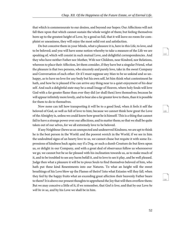that which is commensurate to our desires, and beyond our hopes: Our Affections will not fall then upon that which cannot sustain the whole weight of them; but feeling themselves born up to the greatest height of Love, by a good so full, that it will leave no room for complaint or uneasiness, they will enjoy the most solid rest and satisfaction.

Do but conceive them in your Minds, what a pleasure it is, here in this Life, to love, and to be beloved; and you will have some notion whereby to take a measure of the Life we are speaking of, which will consist in such mutual Love, and delightful correspondencies. And they who have neither Father nor Mother, Wife nor Children, near Kindred, nor Relations, whereon to place their Affection, let them consider, if they have but a singular Friend, what the pleasure is that two persons, who sincerely and purely love, take in the sweet Company and Conversation of each other. Or if I must suppose any Man to be so unkind and so unhappy, as to have no love for any body but his own self, let him think what contentment he hath, and how he is pleased if he can arrive any thing near to a quiet enjoyment of his dear self. And such a delightful state may be a small Image of Heaven, where holy Souls will love God with a far greater flame than ever they did (or shall then) love themselves; because he will appear infinitely more lovely, and to bear also a far greater love to them, than it is possible for them to do to themselves.

Now none can tell how transporting it will be to a good Soul, when it feels it self the beloved of God, as well as full of love to him; because we cannot think how great the Love of the Almighty is, unless we could know how great he is himself. This is a thing that cannot fail to have a strange power over our affections, and to matter them; so that we shall be quite taken out of our selves, for we all extremely love to be beloved.

If any Neighbour (hews us an unexpected and undeserved Kindness, we are apt to think he is the best person in the World: and the poorest wretch in the World, if we see in him the undoubted signs of an hearty love to us, we cannot chuse but requite it with some Expressions of kindness back again; nay if a Dog, or such a dumb Creature do but fawn upon us, or delight in our Company, and with a great deal of observance follow us wheresoever we go, we cannot but be so far pleased with his inclination towards us, as to make much of it, and to be troubled to see any harm befall it, and to love to see it play, and be well pleased. Judge then what a pleasure it will be to pious Souls to find themselves beloved of him, who hath put these kind Resentments into our Natures. To what an height will the sweet breathings of his Love blow up the Flames of theirs? Into what Extasies will they fall, when they feel by the happy fruits what an exceeding great affection their heavenly Father bears to them? It is above our present thoughts to apprehend the Joy that will then overflow them: But we may conceive a little of it, if we remember, that God is love, and that by our Love he will be in us, and by his Love we shall be in him.

<span id="page-55-0"></span>114

<span id="page-55-2"></span><span id="page-55-1"></span>115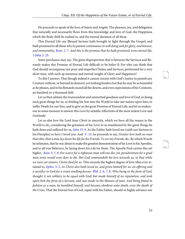He proceeds to speak of the love of Saints and Angels: The pleasure, joy, and delegation that naturally and necessarily flows from this knowledge and love of God, the Happiness which the Body shall be exalted to, and the eternal duration of all these.

<span id="page-56-6"></span><span id="page-56-2"></span>This Eternal Life our Blessed Saviour hath brought to light through the Gospel, and hath promised to all those who by patient continuance in well doing seek for glory, and honour, and immortality, [Rom. 2. 7.](http://www.ccel.org/study/Bible:Rom.2.7) And this is the promise that he hath promised, even eternal life, [1 John 2. 25](http://www.ccel.org/study/Bible:1John.2.25).

Some perchance may say, The great disproportion that is between the Services and Rewards makes this Promise of Eternal Life difficult to be believ'd: For who can think that God should recompense our poor and imperfect Duties and Services, performed for a very short time, with such ap immense and eternal weight of Glory and Happiness?

To this I answer; That though indeed it cannot consist with God's Justice to punish any Creature without, or beyond its demerit; yet nothing hinders but that he may be as bountiful as he pleases, and in his Rewards exceed all the deserts, and even expectations of his Creatures, an hundred or a thousand fold.

Let us then admire the transcendent and unmerited goodness and love of God, in doing such great things for us, as fending his Son into the World to take our nature upon him, to suffer Death for our Sins, and to give us the great Promise of Eternal Life; and let us endeavour in some measure to answer this Love by suitable Affections of the most ardent Love and Gratitude.

<span id="page-56-5"></span><span id="page-56-4"></span><span id="page-56-3"></span><span id="page-56-1"></span><span id="page-56-0"></span>Let us also love the Lord Jesus Christ in sincerity, which we have all the reason in the World to do, considering the greatness of his Love to us manifested by the great things he hath done and suffered for us, *John* [15. 9](http://www.ccel.org/study/Bible:John.15.9). As the Father hath loved me (saith our Saviour to his Disciples) so have I loved you. And [V. 13](http://www.ccel.org/study/Bible:John.15.13). he proceeds to say, Greater love hath no man than this, that a man lay down his life for his Friends. Ye are my Friends, &c. By which Words he intimates, that he was about to make the greatest demonstration of his Love to his Apostles, and to all true Believers, by laying down his Life for them. The Apostle Paul carries this yet higher, Rom. 5.7, 8. For scarce for a righteous man will one die; yet, peradventure for a good man some would even dare to die. But God commendeth his love towards us, in that while we were yet sinners, Christ died for us. This exceeds the highest degree of love Man ever attained to, [Ephes](http://www.ccel.org/study/Bible:Eph.5.2). 5. 2. As Christ also hath loved us, and given himself for us, an offering and a sacrifice to God for a sweet smelling favour. [Phil. 2. 6, 7, 8](http://www.ccel.org/study/Bible:Phil.2.6-Phil.2.8). Who being in the form of God, thought it not robbery to be equal with God; but made himself of no reputation, and took upon him the form of a Servant, and was made in the likeness of man. And being found in fashion as a man, he humbled himself, and became obedient unto death, even the death of the Cross. That the Eternal Son of God, equal with his Father, should so highly advance our

<span id="page-56-8"></span><span id="page-56-7"></span>117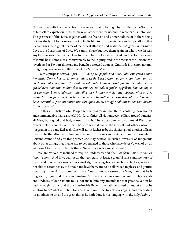<span id="page-57-2"></span>Nature, as to unite it to the Divine in one Person, that so he might be qualified by the Sacrifice of himself to expiate our Sins, to make an atonement for us, and to reconcile us unto God: The greatness of this Love, together with the freeness and unmeritedness of it, there being not any the lead Motive on our part to invite him to it, is so matchless and stupendious, that it challenges the highest degree of reciprocal affection and gratitude. Magnes amoris amor; Love is the Loadstone of Love. We cannot chuse but love them again, in whom we discern any Expressions of unfeigned love to us, as I have before noted: And our love for the degree of it mull be in some measure answerable to the Dignity, and to the merit of the Person who loveth us: For Favours done us, and benefits bestowed upon us, Gratitude is the moll natural, I might say, necessary ebullition of of the Mind of Man.

<span id="page-57-0"></span>To this purpose Seneca, Epist. 81. In hoc fidei populi credamus, Nihil esse grato animo honestius. Omnes hoc urbes, omnes etiam ex Barbaris regionibus gentes conclamabunt: In hoc bonis malisque conveniet. Erunt qui voluptates laudent, erunt qui labores malint, erunt qui dolorem maximum malum dicant, erunt qui ne malum quidem appellent; Divitias aliquis ad summum bonum admittet; alius illas dicet humanæ malo vitæ repertas, nihil esse eo locupletius, cui quod donet, Fortuna non invenit. In tantâ judiciorum diversitate, referendam benè merentibus gratiam omnes uno tibi, quod aiunt, ore affirmabunt; in hoc tam discors turba consentiet.

"In this let us believe what People generally agree in, That there is nothing more honest and commendable than a grateful Mind. All Cities, all Nations, even of Barbarous Countries; all Men, both good and bad, consent in this. There are some who commend Pleasures; others prefer Labours: Some there be, who say that pain is the greatest Evil; others, who will not grant it to be any Evil at all: One will admit Riches to be the chiefest good; another affirms them to be the Mischief of human Life; and that none can be richer than he upon whom Fortune cannot find any thing which she may bestow. In such a diversity of Judgments about other things, that thanks are to be returned to those who have deserv'd well of us, all with one Mouth affirm: In this these Dissenting Parties are all agreed."

<span id="page-57-3"></span><span id="page-57-1"></span>We are by Nature inclined to requite kindnesses; non docti sed facti, non instituti sed imbuti sumus: And if we cannot do that, to retain, at least, a grateful sense and memory of them, and upon all occasions to acknowledge our obligations to such Benefactors, as we are not able to recompense, to honour and love them, and to do all we can to please and gratifie them. Ingratum si dixeris, omnia dixeris: You cannot say worse of a Man, than that he is ungrateful; Ingratitude being an unnatural Sin. Seeing then we cannot requite this transcendent kindness of our Saviour to us, nor make him any amends for that great Salvation he hath wrought for us, and those inestimable Benefits he hath bestowed on us, let us not be wanting to dc/ what in us lies, to express our gratitude, by acknowledging, and celebrating his goodness to us, and the great things he hath done for us, singing with the holy *Psalmist*,

<span id="page-57-4"></span>119

<span id="page-57-6"></span><span id="page-57-5"></span>120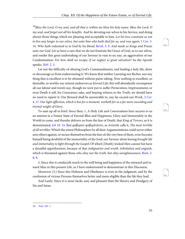<span id="page-58-6"></span><span id="page-58-3"></span> $14$ Bless the Lord, O my soul, and all that is within me bless his holy name. Bless the Lord, O my soul, and forget not all his benefits. And by devoting our selves to his Service, and doing always those things which are pleasing and acceptable to him. Let his love constrain us not to live any longer to our selves, but unto him who hath died for us, and rose again, [1 Cor. 5.](http://www.ccel.org/study/Bible:1Cor.5.16) [16.](http://www.ccel.org/study/Bible:1Cor.5.16) Who hath redeemed us to God by his blood, [Revel. 5. 9.](http://www.ccel.org/study/Bible:Rev.5.9) And made us Kings and Priests unto our God. Let us have a care that we do not frustrate the Grace of God, as to our selves, and render this great undertaking of our Saviour in vain to us; nay, an aggravation of our Condemnation: For how shall we escape, if we neglect so great salvation? As the Apostle speaks, Heb[. 2. 3](http://www.ccel.org/study/Bible:Heb.2.3).

<span id="page-58-5"></span><span id="page-58-4"></span>Let not the difficulty of obeying God's Commandments, and leading a holy life, deter or discourage us from endeavouring it: We know that neither Learning nor Riches, nor any thing that is excellent is to be obtained without pains-taking. Now nothing so excellent, so desirable, so worthy our utmost endeavors as *Eternal Life*; this will abundantly recompense all our labour and travel; nay, though we were put to suffer Persecution, Imprisonment, or even Death it self, for Conscience sake, and bearing witness to the Truth, we should have no need to repent it: Our Reward shall be answerable to, nay far exceed our Work, 2 [Cor](http://www.ccel.org/study/Bible:2Cor.4.17). [4. 17](http://www.ccel.org/study/Bible:2Cor.4.17). Our light affliction, which is but for a moment, worketh for us a far more exceeding and eternal weight of Glory.

<span id="page-58-0"></span>To sum up all in brief: Since then, 1. A Holy Life and Conversation here secures to us an interest in a Future State of Eternal Bliss and Happiness, Glory and Immortality in the World to come, and thereby delivers us from the fear of Death, that King of Terrors, as it is denominated, Job [18. 14](http://www.ccel.org/study/Bible:Job.18.14). that φοβερῶν φοβερότατον, as Aristotle calls it, The most terrible of all terribles: Which the wisest Philosophers by all their Argumentations could never either arm others against, or secure themselves from the fear of; the very best of them, even Socrates himself being doubtful of the immortality of the Soul; our Saviour alone having brought life and immortality to light through the Gospel: Of which [Death] wicked Men cannot but have a dreadful apprehension, because of that *indignation and wrath, tribulation and anguish*, which is threatned against those who obey not the truth, but obey unrighteousness, [Rom. 2.](http://www.ccel.org/study/Bible:Rom.2.8-Rom.2.9) [8, 9.](http://www.ccel.org/study/Bible:Rom.2.8-Rom.2.9)

<span id="page-58-2"></span>2. Since also it conduceth much to the well being and happiness of the outward and inward Man in this present Life, as I have endeavoured to demonstrate in this Discourse.

Moreover (3.) Since this Holiness and Obedience is even in the judgment, and by the confession of vicious Persons themselves better and more eligible than the life they lead.

<span id="page-58-1"></span>And Lastly, Since it is more facile, easy and pleasant than the Slavery and Drudgery of Sin and Satan.



<span id="page-58-7"></span>122

<span id="page-58-9"></span><span id="page-58-8"></span>123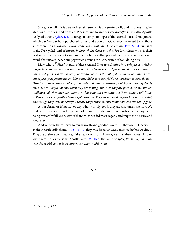<span id="page-59-3"></span><span id="page-59-0"></span>Since, I say, all this is true and certain, surely it is the greatest folly and madness imaginable, for a little false and transient Pleasure, and to gratify some *deceitful Lust*, as the Apostle justly calls them, *[Ephes](http://www.ccel.org/study/Bible:Eph.4.22).* 4. 22. to forego not only our hopes of that eternal Life and Happiness, which our Saviour hath purchased for us, and upon our Obedience promised to us, those sincere and solid Pleasures which are at God's right hand for evermore. [Rev. 22. 14](http://www.ccel.org/study/Bible:Rev.22.14). our right to the Tree of Life, and of entring in through the Gates into the New Jerusalem; which is their portion who keep God's Commandments; but also that present comfort and satisfaction of mind, that inward peace and joy which attends the Conscience of well doing here.

<span id="page-59-4"></span>Mark what a <sup>15</sup>Heathen saith of these sensual Pleasures, Dimitte istas voluptates turbidas, magno luendas: non venturæ tantum, sed & præteritæ nocent. Quemadmodum scelera etiamsi non sint deprehensa cùm fierent, solicitudo non cum ipsis abit; ità voluptatum improbarum etiam post ipsas pœnitentia est: Non sunt solidæ, non sunt fideles; etiamsi non nocent, fugiunt. Dismiss (saith he) these troubled, or muddy and impure pleasures, which you must pay dearly for; they are hurtful not only when they are coming, but when they are past: As crimes though undiscovered when they are committed, leave not the committers of them without solicitude, so Repentance always attends unlawful Pleasures: They are not solid they are false and deceitful, and though they were not hurtful, yet are they transient, only in motion, and suddainly gone.

As for Riches or Honours, or any other worldly good, they are also unsatisfactory. We find our Expectations in the pursuit of them, frustrated in the acquisition and enjoyment; being presently full and weary of that, which we did most eagerly and impotently desire and long after.

<span id="page-59-2"></span><span id="page-59-1"></span>And yet were there never so much worth and goodness in them, they are, 1. Uncertain, as the Apostle calls them,  $1 Tim. 6. 17.$  $1 Tim. 6. 17.$  they may be taken away from us before we die. 2, They are of short continuance; if they abide with us till death, we must then necessarily part with them: For as the same Apostle saith, [V. 7th](http://www.ccel.org/study/Bible:1Tim.6.7) of the same Chapter, We brought nothing into this world, and it is certain we can carry nothing out.

**FINIS.**

<span id="page-59-6"></span><span id="page-59-5"></span>125

<sup>15</sup> Seneca, Epist. 27.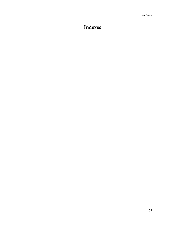# <span id="page-60-0"></span>**Indexes**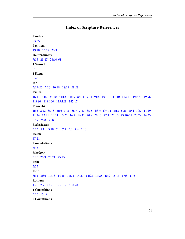## **Index of Scripture References**

```
Exodus
23:25
Leviticus
19:18   25:18   26:3
Deuteronomy
7:15   28:47   28:60-61
1 Samuel
2:30
1 Kings
8:46
Job
5:19-20   7:20   10:18   18:14   28:28
Psalms
16:11   34:9   34:10   34:12   34:19   84:11   91:3   91:5   103:1   111:10   112:6   119:67   119:98  
119:99   119:100   119:128   145:17
Proverbs
1:33   2:22   3:7-8   3:16   3:16   3:17   3:23   3:35   4:8-9   6:9-11   8:18   8:21   10:4   10:7   11:19  
11:24   12:21   13:11   13:22   16:7   16:32   20:9   20:13   22:1   22:16   23:20-21   23:29   24:33  
27:9   28:8   30:8
Ecclesiastes
3:13   5:11   5:18   7:1   7:2   7:3   7:4   7:10
Isaiah
57:21
Lamentations
3:33
Matthew
6:25   20:9   25:21   25:23
Luke
5:25
John
8:34   8:36   14:13   14:15   14:21   14:21   14:23   14:25   15:9   15:13   17:3   17:3
Romans
1:28   2:7   2:8-9   5:7-8   7:12   8:28
1 Corinthians
5:16   15:19
2 Corinthians
```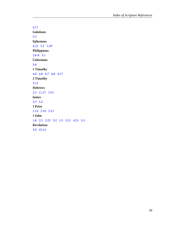[4:17](#page-58-4) **Galatians** [5:3](#page-12-7) **Ephesians** [4:22](#page-59-0) [5:2](#page-56-4)   [5:29](#page-47-0) **Philippians**  $2:6-8$  [3:1](#page-6-1) **Colossians** [3:8](#page-25-1) **1 Timothy** [4:8](#page-29-7) [4:8](#page-46-9)   [6:7](#page-59-1) [6:8](#page-27-3)   [6:17](#page-59-2) **2 Timothy** [3:12](#page-51-2) **Hebrews** [2:3](#page-58-5) [11:37](#page-51-3) [13:5](#page-30-0) **James**  $2:5$  [3:2](#page-10-5) **1 Peter** [1:14](#page-10-6) [3:10](#page-17-8) [3:13](#page-26-11) **1 John** [1:8](#page-10-5) [2:5](#page-12-5)   [2:25](#page-56-6)  [3:2](#page-14-1) [3:3](#page-10-7)   [3:21](#page-49-1) [4:21](#page-46-4) [5:3](#page-12-8) **Revelation** [5:9](#page-58-6) [22:14](#page-59-3)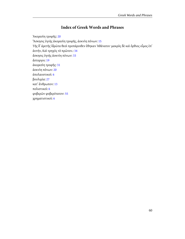# **Index of Greek Words and Phrases**

<span id="page-63-0"></span>Ἀκορεσίη τροφῆς: [20](#page-23-0) Ἄσκησις ὑγιὴς ἀκορεσίη τροφῆς, ἀοκνίη πόνων: [15](#page-18-0) Τῆς δ᾽ ἀρετῆς ἱδρῶτα θεοὶ προπάροιθεν ἔθηκαν Ἀθάνατοι· μακρὸς δὲ καὶ ὄρθιος οἶμος ἐπ᾽ ἀυτήν, Καὶ τρηχὺς τὸ πρῶτον.: [34](#page-37-0) ἄσκησις ὑγιὴς ἀοκνίη πόνων: [33](#page-36-0) ἄστοργοι: [19](#page-22-0) ἀκορεσίη τροφῆς: [31](#page-34-1) ἀοκνίη πόνων: [20](#page-23-1) ἀπολαυστικοί: [6](#page-9-1) βουλιμία: [27](#page-30-1) κατ᾽ ἄνθρωπον: [13](#page-16-1) πολιστικοί: [6](#page-9-2) φοβερῶν φοβερότατον: [55](#page-58-0) χρηματιστικοί: [6](#page-9-2)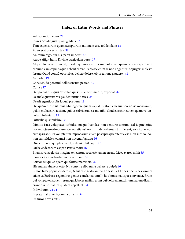### **Index of Latin Words and Phrases**

<span id="page-64-0"></span>—Flagrantior æquo: [22](#page-25-2) Plures occidit gula quàm gladius: [16](#page-19-0) Tam expensorum quàm acceptorum rationem esse reddendam: [18](#page-21-1) Adeò gratiosa est virtus: [38](#page-41-4) Animum rege, qui nisi paret imperat: [45](#page-48-6) Atque affigit humi Divinæ particulam auræ: [17](#page-20-1) Atque illud absurdum est, quod ii qui monentur, eam molestiam quam debent capere non capiunt, eam capiuns quâ debent carere. Peccâsse enim se non anguntur, objurgari molestè ferunt: Quod contrà oportebat, delicto dolere, objurgatione gaudere.: [41](#page-44-2) Aureolæ: [49](#page-52-2) Consuetudo peccandi tollit sensum peccati: [47](#page-50-3) Cujus : [17](#page-20-2) Dat pœnas quisquis expectat; quisquis autem meruit, expectat: [47](#page-50-4) De malè quæsitis vix gaudet tertius hæres: [28](#page-31-5) Deerit egentibus Æs laquei pretium: [18](#page-21-2) Dic quàm turpe sit, plus sibi ingerere quàm capiat, & stomachi sui non nôsse mensuram; quàm multa ebrii faciant, quibus sobrii erubescant; nihil aliud esse ebrietatem quàm voluntariam infantam: [19](#page-22-1) Difficilia quæ pulchra: [33](#page-36-1) Dimitte istas voluptates turbidas, magno luendas: non venturæ tantum, sed & præteritæ nocent. Quemadmodum scelera etiamsi non sint deprehensa cùm fierent, solicitudo non cum ipsis abit; ità voluptatum improbarum etiam post ipsas pœnitentia est: Non sunt solidæ, non sunt fideles; etiamsi non nocent, fugiunt: [56](#page-59-4) Dives est, non qui plus habet, sed qui nihil cupit: [25](#page-28-0) Dulce & decorum est pro Patriâ mori: [46](#page-49-2) Etiamsi vanâ gloriæ imagine teneantur, speciosè tamen errant: Licet avaros mihi: [35](#page-38-0) Florales joci nudandarum meretricum: [38](#page-41-5) Fortior est qui se quàm qui fortissima vincit.: [22](#page-25-3) Hic murus aheneus esto, Nil conscire sibi, nullâ pallesere culpâ: [46](#page-49-3) In hoc fidei populi credamus, Nihil esse grato animo honestius. Omnes hoc urbes, omnes etiam ex Barbaris regionibus gentes conclamabunt: In hoc bonis malisque conveniet. Erunt qui voluptates laudent, erunt qui labores malint, erunt qui dolorem maximum malum dicant, erunt qui ne malum quidem appellent: [54](#page-57-0) Individuum: [31](#page-34-2) [31](#page-34-3) Ingratum si dixeris, omnia dixeris: [54](#page-57-1)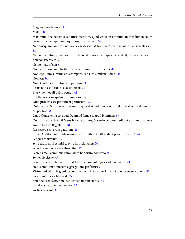Magnes amoris amor: [54](#page-57-2) Malè : [28](#page-31-6) Maximum hoc habemus à naturâ meritum, quod virtus in omnium animos lumen suum permittit, etiam qui non sequuntur, illam vident: [38](#page-41-6) Nec quisquam tantum à naturalis lege descivit & hominem exuit, ut animi causâ malus sit.: [38](#page-41-7) Nemo invenitur qui se possit absolvere; & innocentem quisque se dicit, respiciens testem, non conscientiam: [7](#page-10-8) Nemo malus felix: [6](#page-9-3) Non aquâ non igni pluribus in locis utimur quàm amicitiâ: [41](#page-44-3) Non ego illum summis viris comparo, sed Deo similem judico.: [46](#page-49-4) Non est: [34](#page-37-1) Nulli (saith he) turpitùs occupati sunt: [35](#page-38-1) Pestis non est Pestis nisi adsit terror: [21](#page-24-4) Plus vident oculi quàm oculus: [41](#page-44-4) Præftat non esse quàm miserum esse: [12](#page-15-0) Quid prodest esse peritum & periturum?: [39](#page-42-0) Quis coram Deo innocens invenitur, qui vellet fieri quod vetatur, si subtrahas quod timetur. Ac per hoc : [8](#page-11-1) Quod Conscientia est apud Deum, id fama est apud Homines: [37](#page-40-4) Quos diri conscia facti Mens habet attonitos, & surdo verbere cædit, Occultum quatiente animo tortore flagellum.: [48](#page-51-4) Res severa est verum gaudium: [46](#page-49-5) Rubet Auditor cui frigida mens est Crimmibus, tacitâ sudant præcordia culpâ: [47](#page-50-5) Sanguis Martyrum: [49](#page-52-3) Scire tuum nihil est nisi te scire hoc sciat alter: [50](#page-53-2) Se judice nemo nocens absolvitur: [12](#page-15-1) Secretis malis omnibus cumulatum bonorum possessio: [9](#page-12-9) Semen Ecclesiæ: [49](#page-52-3) Si ventri bene, si lateri est, quid Divititæ possunt regales addere majus: [24](#page-27-4) Status omnium honorum aggregatione perfectus: [9](#page-12-10) Virtus amicitiam & gignit & continet, nec sine virtute Amicitiâ ullo pacto esse potest: [42](#page-45-0) eorum inhonesta labes est: [35](#page-38-2) non docti sed facti, non instituti sed imbuti sumus: [54](#page-57-3) usu & tractatione spendescere: [33](#page-36-2) viriliùs peccant: [35](#page-38-3)